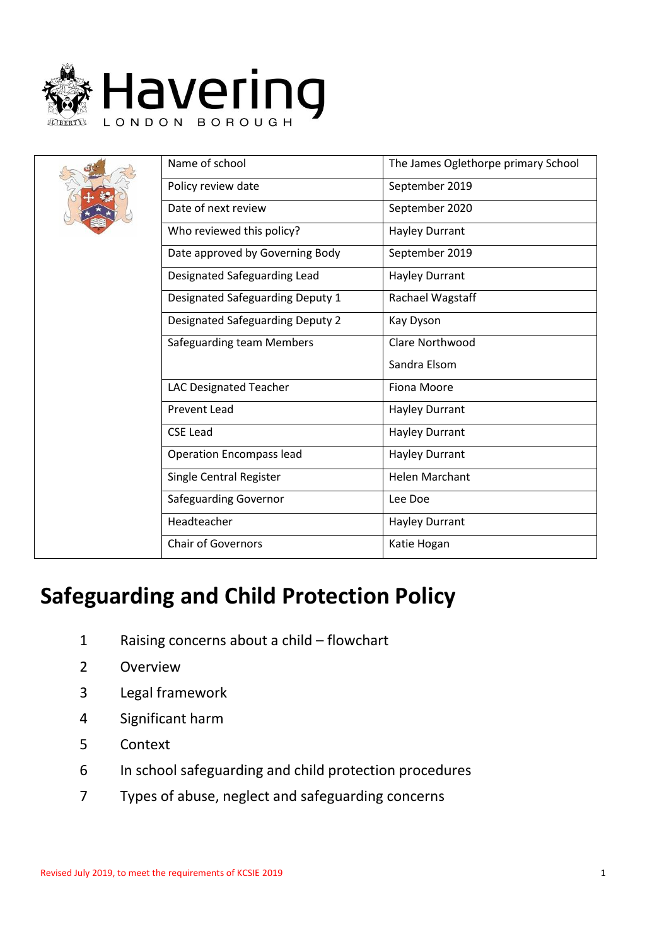

|  | Name of school                   | The James Oglethorpe primary School |
|--|----------------------------------|-------------------------------------|
|  | Policy review date               | September 2019                      |
|  | Date of next review              | September 2020                      |
|  | Who reviewed this policy?        | Hayley Durrant                      |
|  | Date approved by Governing Body  | September 2019                      |
|  | Designated Safeguarding Lead     | <b>Hayley Durrant</b>               |
|  | Designated Safeguarding Deputy 1 | Rachael Wagstaff                    |
|  | Designated Safeguarding Deputy 2 | Kay Dyson                           |
|  | <b>Safeguarding team Members</b> | Clare Northwood                     |
|  |                                  | Sandra Elsom                        |
|  | <b>LAC Designated Teacher</b>    | Fiona Moore                         |
|  | <b>Prevent Lead</b>              | Hayley Durrant                      |
|  | <b>CSE Lead</b>                  | <b>Hayley Durrant</b>               |
|  | <b>Operation Encompass lead</b>  | <b>Hayley Durrant</b>               |
|  | Single Central Register          | <b>Helen Marchant</b>               |
|  | <b>Safeguarding Governor</b>     | Lee Doe                             |
|  | Headteacher                      | <b>Hayley Durrant</b>               |
|  | <b>Chair of Governors</b>        | Katie Hogan                         |

# **Safeguarding and Child Protection Policy**

- 1 Raising concerns about a child flowchart
- 2 Overview
- 3 Legal framework
- 4 Significant harm
- 5 Context
- 6 In school safeguarding and child protection procedures
- 7 Types of abuse, neglect and safeguarding concerns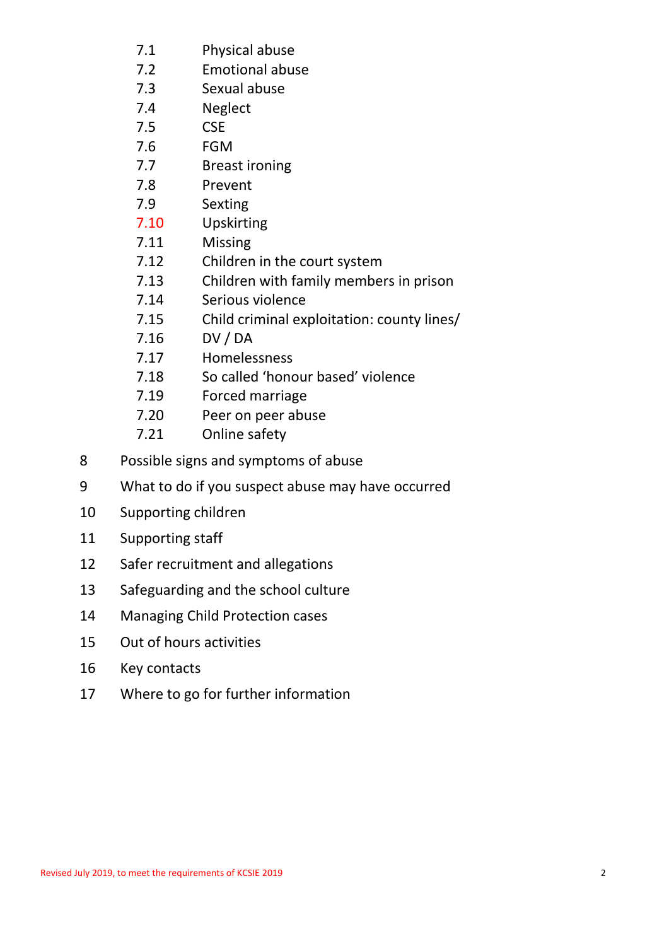- 7.1 Physical abuse
- 7.2 Emotional abuse
- 7.3 Sexual abuse
- 7.4 Neglect
- 7.5 CSE
- 7.6 FGM
- 7.7 Breast ironing
- 7.8 Prevent
- 7.9 Sexting
- 7.10 Upskirting
- 7.11 Missing
- 7.12 Children in the court system
- 7.13 Children with family members in prison
- 7.14 Serious violence
- 7.15 Child criminal exploitation: county lines/
- 7.16 DV / DA
- 7.17 Homelessness
- 7.18 So called 'honour based' violence
- 7.19 Forced marriage
- 7.20 Peer on peer abuse
- 7.21 Online safety
- 8 Possible signs and symptoms of abuse
- 9 What to do if you suspect abuse may have occurred
- 10 Supporting children
- 11 Supporting staff
- 12 Safer recruitment and allegations
- 13 Safeguarding and the school culture
- 14 Managing Child Protection cases
- 15 Out of hours activities
- 16 Key contacts
- 17 Where to go for further information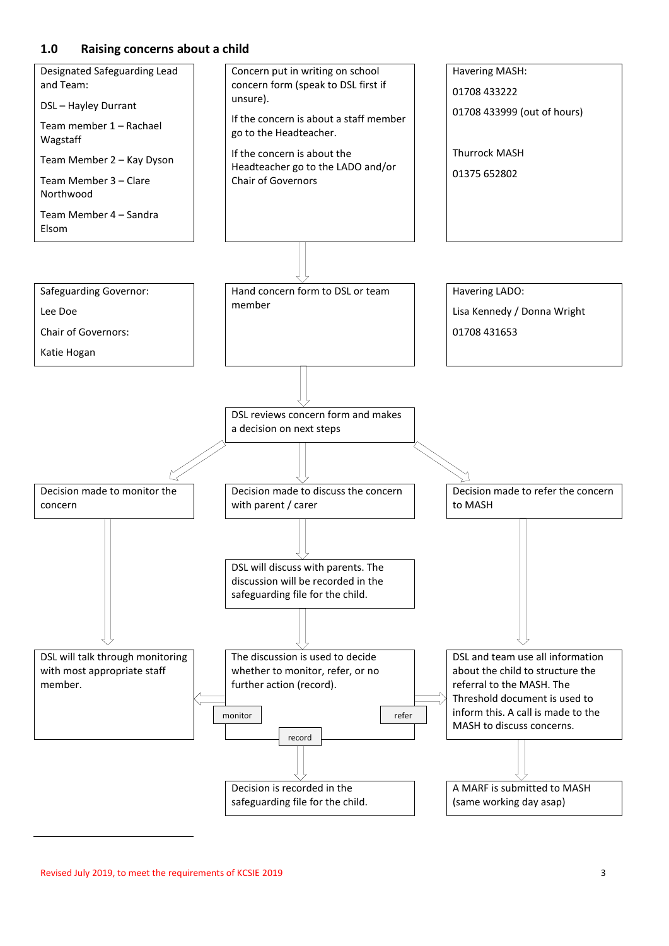#### **1.0 Raising concerns about a child**

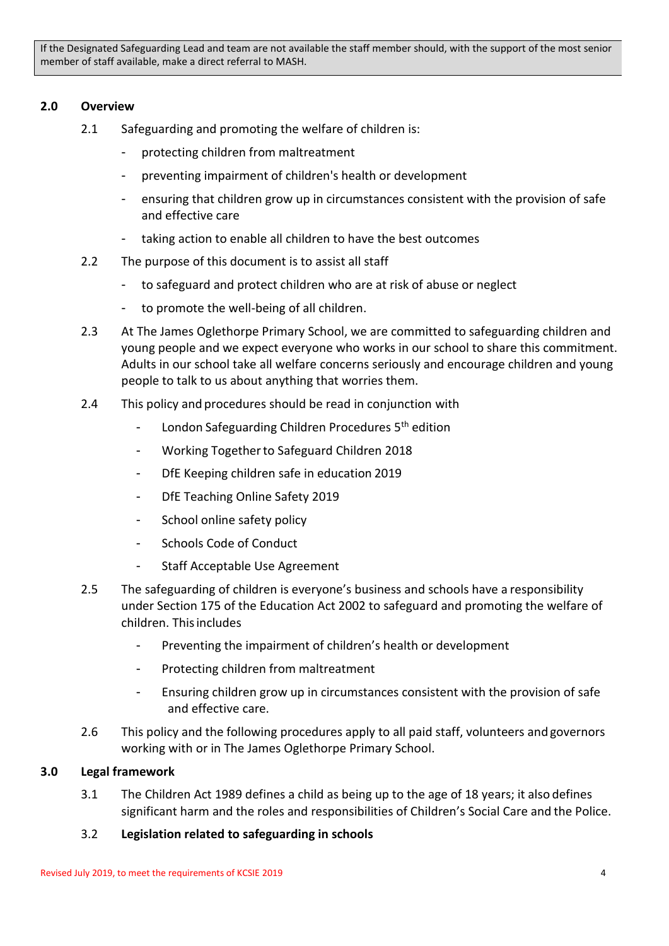If the Designated Safeguarding Lead and team are not available the staff member should, with the support of the most senior member of staff available, make a direct referral to MASH.

## **2.0 Overview**

- 2.1 Safeguarding and promoting the welfare of children is:
	- protecting children from maltreatment
	- preventing impairment of children's health or development
	- ensuring that children grow up in circumstances consistent with the provision of safe and effective care
	- taking action to enable all children to have the best outcomes
- 2.2 The purpose of this document is to assist all staff
	- to safeguard and protect children who are at risk of abuse or neglect
	- to promote the well-being of all children.
- 2.3 At The James Oglethorpe Primary School, we are committed to safeguarding children and young people and we expect everyone who works in our school to share this commitment. Adults in our school take all welfare concerns seriously and encourage children and young people to talk to us about anything that worries them.
- 2.4 This policy and procedures should be read in conjunction with
	- London Safeguarding Children Procedures 5<sup>th</sup> edition
	- Working Together to Safeguard Children 2018
	- DfE Keeping children safe in education 2019
	- DfE Teaching Online Safety 2019
	- School online safety policy
	- Schools Code of Conduct
	- Staff Acceptable Use Agreement
- 2.5 The safeguarding of children is everyone's business and schools have a responsibility under Section 175 of the Education Act 2002 to safeguard and promoting the welfare of children. Thisincludes
	- Preventing the impairment of children's health or development
	- Protecting children from maltreatment
	- Ensuring children grow up in circumstances consistent with the provision of safe and effective care.
- 2.6 This policy and the following procedures apply to all paid staff, volunteers and governors working with or in The James Oglethorpe Primary School.

#### **3.0 Legal framework**

- 3.1 The Children Act 1989 defines a child as being up to the age of 18 years; it also defines significant harm and the roles and responsibilities of Children's Social Care and the Police.
- 3.2 **Legislation related to safeguarding in schools**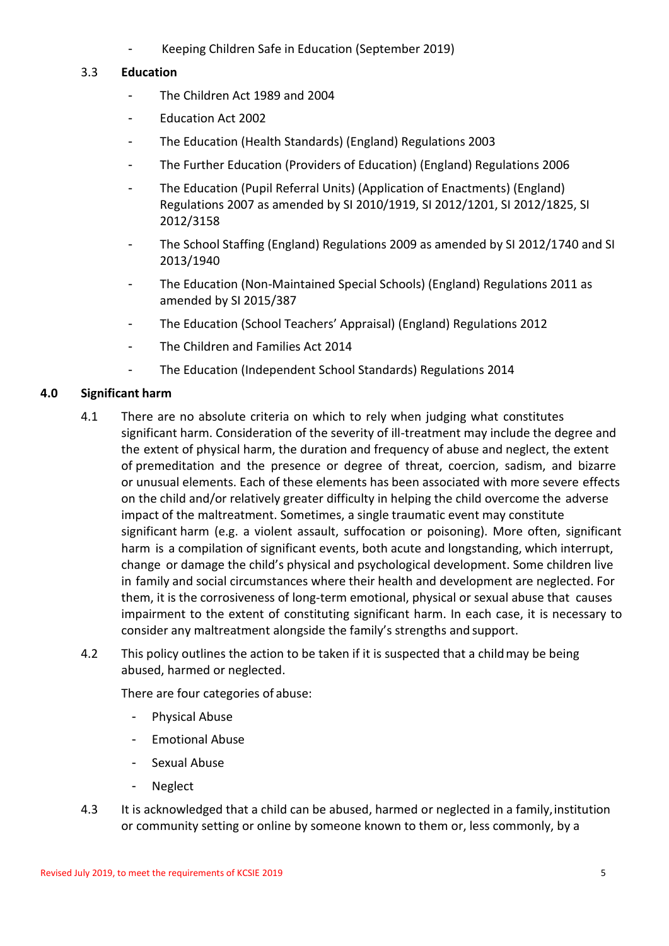Keeping Children Safe in Education (September 2019)

# 3.3 **Education**

- The Children Act 1989 and 2004
- Education Act 2002
- The Education (Health Standards) (England) Regulations 2003
- The Further Education (Providers of Education) (England) Regulations 2006
- The Education (Pupil Referral Units) (Application of Enactments) (England) Regulations 2007 as amended by SI 2010/1919, SI 2012/1201, SI 2012/1825, SI 2012/3158
- The School Staffing (England) Regulations 2009 as amended by SI 2012/1740 and SI 2013/1940
- The Education (Non-Maintained Special Schools) (England) Regulations 2011 as amended by SI 2015/387
- The Education (School Teachers' Appraisal) (England) Regulations 2012
- The Children and Families Act 2014
- The Education (Independent School Standards) Regulations 2014

# **4.0 Significant harm**

- 4.1 There are no absolute criteria on which to rely when judging what constitutes significant harm. Consideration of the severity of ill-treatment may include the degree and the extent of physical harm, the duration and frequency of abuse and neglect, the extent of premeditation and the presence or degree of threat, coercion, sadism, and bizarre or unusual elements. Each of these elements has been associated with more severe effects on the child and/or relatively greater difficulty in helping the child overcome the adverse impact of the maltreatment. Sometimes, a single traumatic event may constitute significant harm (e.g. a violent assault, suffocation or poisoning). More often, significant harm is a compilation of significant events, both acute and longstanding, which interrupt, change or damage the child's physical and psychological development. Some children live in family and social circumstances where their health and development are neglected. For them, it is the corrosiveness of long-term emotional, physical or sexual abuse that causes impairment to the extent of constituting significant harm. In each case, it is necessary to consider any maltreatment alongside the family's strengths and support.
- 4.2 This policy outlines the action to be taken if it is suspected that a child may be being abused, harmed or neglected.

There are four categories of abuse:

- Physical Abuse
- Emotional Abuse
- Sexual Abuse
- **Neglect**
- 4.3 It is acknowledged that a child can be abused, harmed or neglected in a family, institution or community setting or online by someone known to them or, less commonly, by a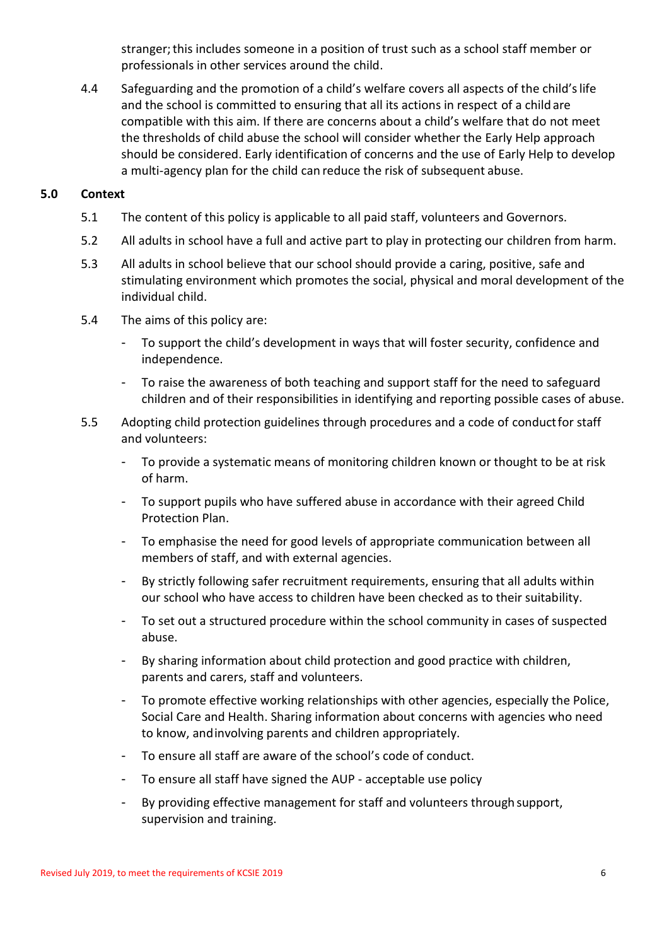stranger;this includes someone in a position of trust such as a school staff member or professionals in other services around the child.

4.4 Safeguarding and the promotion of a child's welfare covers all aspects of the child'slife and the school is committed to ensuring that all its actions in respect of a child are compatible with this aim. If there are concerns about a child's welfare that do not meet the thresholds of child abuse the school will consider whether the Early Help approach should be considered. Early identification of concerns and the use of Early Help to develop a multi-agency plan for the child can reduce the risk of subsequent abuse.

# **5.0 Context**

- 5.1 The content of this policy is applicable to all paid staff, volunteers and Governors.
- 5.2 All adults in school have a full and active part to play in protecting our children from harm.
- 5.3 All adults in school believe that our school should provide a caring, positive, safe and stimulating environment which promotes the social, physical and moral development of the individual child.
- 5.4 The aims of this policy are:
	- To support the child's development in ways that will foster security, confidence and independence.
	- To raise the awareness of both teaching and support staff for the need to safeguard children and of their responsibilities in identifying and reporting possible cases of abuse.
- 5.5 Adopting child protection guidelines through procedures and a code of conductfor staff and volunteers:
	- To provide a systematic means of monitoring children known or thought to be at risk of harm.
	- To support pupils who have suffered abuse in accordance with their agreed Child Protection Plan.
	- To emphasise the need for good levels of appropriate communication between all members of staff, and with external agencies.
	- By strictly following safer recruitment requirements, ensuring that all adults within our school who have access to children have been checked as to their suitability.
	- To set out a structured procedure within the school community in cases of suspected abuse.
	- By sharing information about child protection and good practice with children, parents and carers, staff and volunteers.
	- To promote effective working relationships with other agencies, especially the Police, Social Care and Health. Sharing information about concerns with agencies who need to know, andinvolving parents and children appropriately.
	- To ensure all staff are aware of the school's code of conduct.
	- To ensure all staff have signed the AUP acceptable use policy
	- By providing effective management for staff and volunteers through support, supervision and training.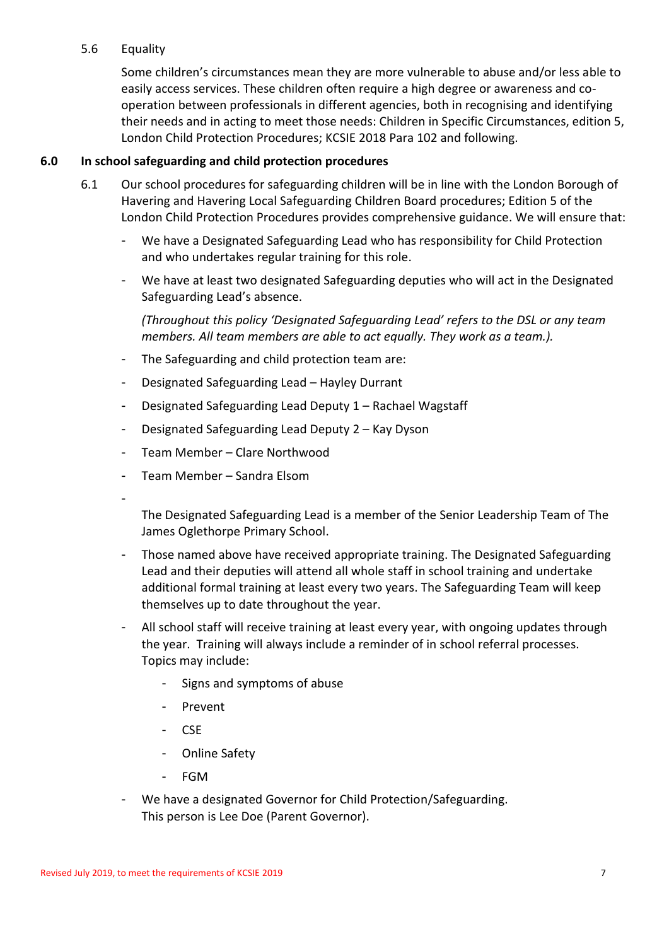## 5.6 Equality

Some children's circumstances mean they are more vulnerable to abuse and/or less able to easily access services. These children often require a high degree or awareness and cooperation between professionals in different agencies, both in recognising and identifying their needs and in acting to meet those needs: Children in Specific Circumstances, edition 5, London Child Protection Procedures; KCSIE 2018 Para 102 and following.

# **6.0 In school safeguarding and child protection procedures**

- 6.1 Our school procedures for safeguarding children will be in line with the London Borough of Havering and Havering Local Safeguarding Children Board procedures; Edition 5 of the London Child Protection Procedures provides comprehensive guidance. We will ensure that:
	- We have a Designated Safeguarding Lead who has responsibility for Child Protection and who undertakes regular training for this role.
	- We have at least two designated Safeguarding deputies who will act in the Designated Safeguarding Lead's absence.

*(Throughout this policy 'Designated Safeguarding Lead' refers to the DSL or any team members. All team members are able to act equally. They work as a team.).*

- The Safeguarding and child protection team are:
- Designated Safeguarding Lead Hayley Durrant
- Designated Safeguarding Lead Deputy 1 Rachael Wagstaff
- Designated Safeguarding Lead Deputy 2 Kay Dyson
- Team Member Clare Northwood
- Team Member Sandra Elsom
- -

The Designated Safeguarding Lead is a member of the Senior Leadership Team of The James Oglethorpe Primary School.

- Those named above have received appropriate training. The Designated Safeguarding Lead and their deputies will attend all whole staff in school training and undertake additional formal training at least every two years. The Safeguarding Team will keep themselves up to date throughout the year.
- All school staff will receive training at least every year, with ongoing updates through the year. Training will always include a reminder of in school referral processes. Topics may include:
	- Signs and symptoms of abuse
	- Prevent
	- CSE
	- Online Safety
	- FGM
- We have a designated Governor for Child Protection/Safeguarding. This person is Lee Doe (Parent Governor).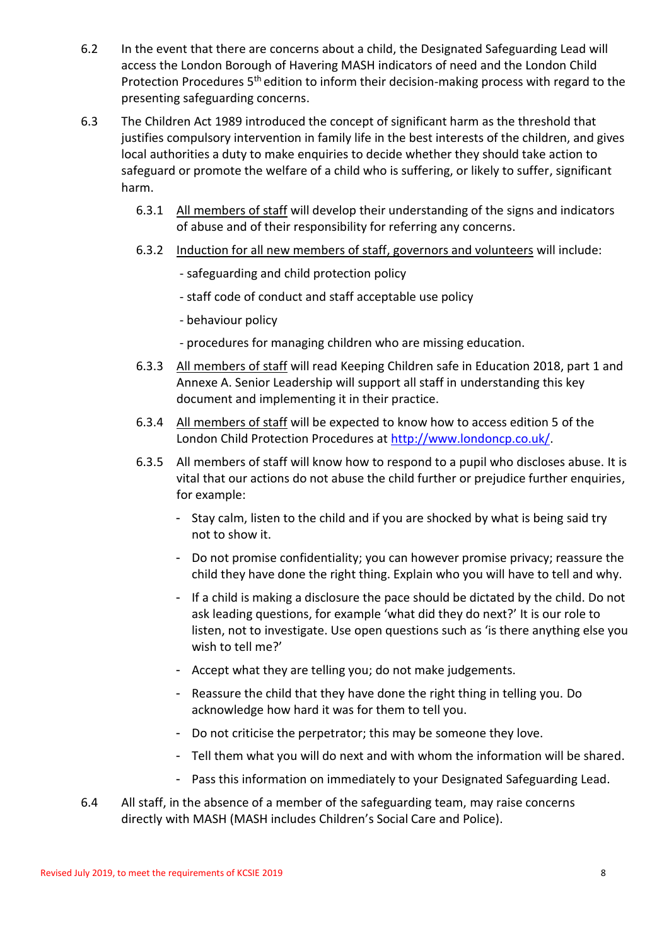- 6.2 In the event that there are concerns about a child, the Designated Safeguarding Lead will access the London Borough of Havering MASH indicators of need and the London Child Protection Procedures 5<sup>th</sup> edition to inform their decision-making process with regard to the presenting safeguarding concerns.
- 6.3 The Children Act 1989 introduced the concept of significant harm as the threshold that justifies compulsory intervention in family life in the best interests of the children, and gives local authorities a duty to make enquiries to decide whether they should take action to safeguard or promote the welfare of a child who is suffering, or likely to suffer, significant harm.
	- 6.3.1 All members of staff will develop their understanding of the signs and indicators of abuse and of their responsibility for referring any concerns.
	- 6.3.2 Induction for all new members of staff, governors and volunteers will include:
		- safeguarding and child protection policy
		- staff code of conduct and staff acceptable use policy
		- behaviour policy
		- procedures for managing children who are missing education.
	- 6.3.3 All members of staff will read Keeping Children safe in Education 2018, part 1 and Annexe A. Senior Leadership will support all staff in understanding this key document and implementing it in their practice.
	- 6.3.4 All members of staff will be expected to know how to access edition 5 of the London Child Protection Procedures at [http://www.londoncp.co.uk/.](http://www.londoncp.co.uk/)
	- 6.3.5 All members of staff will know how to respond to a pupil who discloses abuse. It is vital that our actions do not abuse the child further or prejudice further enquiries, for example:
		- Stay calm, listen to the child and if you are shocked by what is being said try not to show it.
		- Do not promise confidentiality; you can however promise privacy; reassure the child they have done the right thing. Explain who you will have to tell and why.
		- If a child is making a disclosure the pace should be dictated by the child. Do not ask leading questions, for example 'what did they do next?' It is our role to listen, not to investigate. Use open questions such as 'is there anything else you wish to tell me?'
		- Accept what they are telling you; do not make judgements.
		- Reassure the child that they have done the right thing in telling you. Do acknowledge how hard it was for them to tell you.
		- Do not criticise the perpetrator; this may be someone they love.
		- Tell them what you will do next and with whom the information will be shared.
		- Pass this information on immediately to your Designated Safeguarding Lead.
- 6.4 All staff, in the absence of a member of the safeguarding team, may raise concerns directly with MASH (MASH includes Children's Social Care and Police).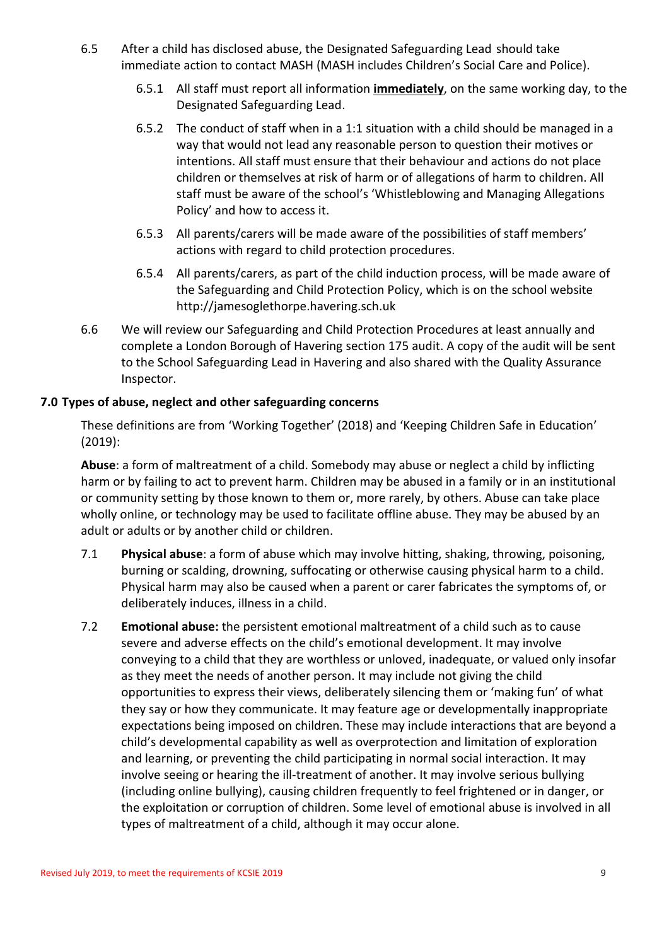- 6.5 After a child has disclosed abuse, the Designated Safeguarding Lead should take immediate action to contact MASH (MASH includes Children's Social Care and Police).
	- 6.5.1 All staff must report all information **immediately**, on the same working day, to the Designated Safeguarding Lead.
	- 6.5.2 The conduct of staff when in a 1:1 situation with a child should be managed in a way that would not lead any reasonable person to question their motives or intentions. All staff must ensure that their behaviour and actions do not place children or themselves at risk of harm or of allegations of harm to children. All staff must be aware of the school's 'Whistleblowing and Managing Allegations Policy' and how to access it.
	- 6.5.3 All parents/carers will be made aware of the possibilities of staff members' actions with regard to child protection procedures.
	- 6.5.4 All parents/carers, as part of the child induction process, will be made aware of the Safeguarding and Child Protection Policy, which is on the school website http://jamesoglethorpe.havering.sch.uk
- 6.6 We will review our Safeguarding and Child Protection Procedures at least annually and complete a London Borough of Havering section 175 audit. A copy of the audit will be sent to the School Safeguarding Lead in Havering and also shared with the Quality Assurance Inspector.

# **7.0 Types of abuse, neglect and other safeguarding concerns**

These definitions are from 'Working Together' (2018) and 'Keeping Children Safe in Education' (2019):

**Abuse**: a form of maltreatment of a child. Somebody may abuse or neglect a child by inflicting harm or by failing to act to prevent harm. Children may be abused in a family or in an institutional or community setting by those known to them or, more rarely, by others. Abuse can take place wholly online, or technology may be used to facilitate offline abuse. They may be abused by an adult or adults or by another child or children.

- 7.1 **Physical abuse**: a form of abuse which may involve hitting, shaking, throwing, poisoning, burning or scalding, drowning, suffocating or otherwise causing physical harm to a child. Physical harm may also be caused when a parent or carer fabricates the symptoms of, or deliberately induces, illness in a child.
- 7.2 **Emotional abuse:** the persistent emotional maltreatment of a child such as to cause severe and adverse effects on the child's emotional development. It may involve conveying to a child that they are worthless or unloved, inadequate, or valued only insofar as they meet the needs of another person. It may include not giving the child opportunities to express their views, deliberately silencing them or 'making fun' of what they say or how they communicate. It may feature age or developmentally inappropriate expectations being imposed on children. These may include interactions that are beyond a child's developmental capability as well as overprotection and limitation of exploration and learning, or preventing the child participating in normal social interaction. It may involve seeing or hearing the ill-treatment of another. It may involve serious bullying (including online bullying), causing children frequently to feel frightened or in danger, or the exploitation or corruption of children. Some level of emotional abuse is involved in all types of maltreatment of a child, although it may occur alone.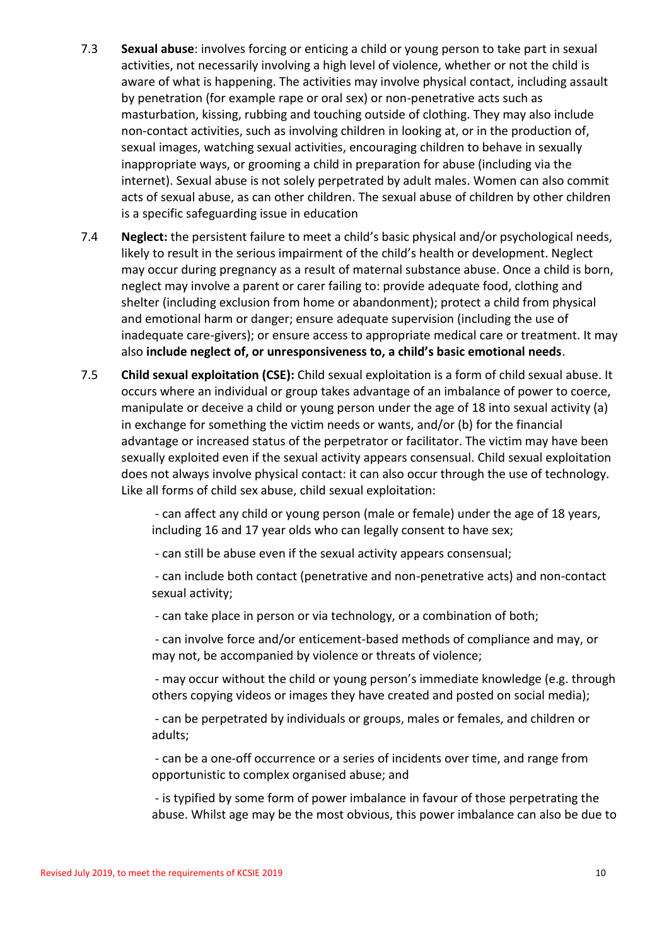- 7.3 **Sexual abuse**: involves forcing or enticing a child or young person to take part in sexual activities, not necessarily involving a high level of violence, whether or not the child is aware of what is happening. The activities may involve physical contact, including assault by penetration (for example rape or oral sex) or non-penetrative acts such as masturbation, kissing, rubbing and touching outside of clothing. They may also include non-contact activities, such as involving children in looking at, or in the production of, sexual images, watching sexual activities, encouraging children to behave in sexually inappropriate ways, or grooming a child in preparation for abuse (including via the internet). Sexual abuse is not solely perpetrated by adult males. Women can also commit acts of sexual abuse, as can other children. The sexual abuse of children by other children is a specific safeguarding issue in education
- 7.4 **Neglect:** the persistent failure to meet a child's basic physical and/or psychological needs, likely to result in the serious impairment of the child's health or development. Neglect may occur during pregnancy as a result of maternal substance abuse. Once a child is born, neglect may involve a parent or carer failing to: provide adequate food, clothing and shelter (including exclusion from home or abandonment); protect a child from physical and emotional harm or danger; ensure adequate supervision (including the use of inadequate care-givers); or ensure access to appropriate medical care or treatment. It may also **include neglect of, or unresponsiveness to, a child's basic emotional needs**.
- 7.5 **Child sexual exploitation (CSE):** Child sexual exploitation is a form of child sexual abuse. It occurs where an individual or group takes advantage of an imbalance of power to coerce, manipulate or deceive a child or young person under the age of 18 into sexual activity (a) in exchange for something the victim needs or wants, and/or (b) for the financial advantage or increased status of the perpetrator or facilitator. The victim may have been sexually exploited even if the sexual activity appears consensual. Child sexual exploitation does not always involve physical contact: it can also occur through the use of technology. Like all forms of child sex abuse, child sexual exploitation:

- can affect any child or young person (male or female) under the age of 18 years, including 16 and 17 year olds who can legally consent to have sex;

- can still be abuse even if the sexual activity appears consensual;

- can include both contact (penetrative and non-penetrative acts) and non-contact sexual activity;

- can take place in person or via technology, or a combination of both;

- can involve force and/or enticement-based methods of compliance and may, or may not, be accompanied by violence or threats of violence;

- may occur without the child or young person's immediate knowledge (e.g. through others copying videos or images they have created and posted on social media);

- can be perpetrated by individuals or groups, males or females, and children or adults;

- can be a one-off occurrence or a series of incidents over time, and range from opportunistic to complex organised abuse; and

- is typified by some form of power imbalance in favour of those perpetrating the abuse. Whilst age may be the most obvious, this power imbalance can also be due to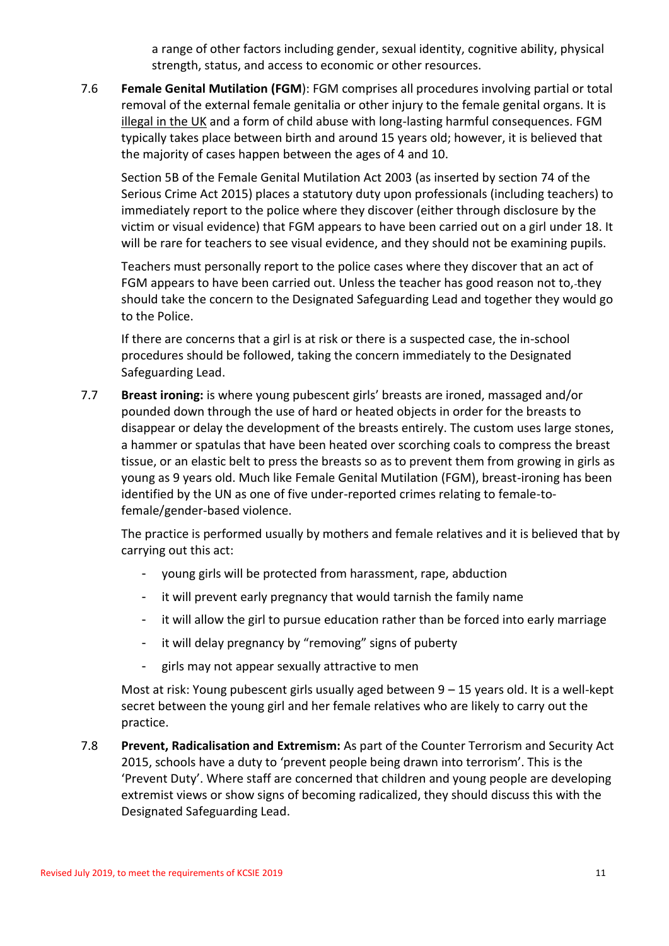a range of other factors including gender, sexual identity, cognitive ability, physical strength, status, and access to economic or other resources.

7.6 **Female Genital Mutilation (FGM**): FGM comprises all procedures involving partial or total removal of the external female genitalia or other injury to the female genital organs. It is illegal in the UK and a form of child abuse with long-lasting harmful consequences. FGM typically takes place between birth and around 15 years old; however, it is believed that the majority of cases happen between the ages of 4 and 10.

Section 5B of the Female Genital Mutilation Act 2003 (as inserted by section 74 of the Serious Crime Act 2015) places a statutory duty upon professionals (including teachers) to immediately report to the police where they discover (either through disclosure by the victim or visual evidence) that FGM appears to have been carried out on a girl under 18. It will be rare for teachers to see visual evidence, and they should not be examining pupils.

Teachers must personally report to the police cases where they discover that an act of FGM appears to have been carried out. Unless the teacher has good reason not to, they should take the concern to the Designated Safeguarding Lead and together they would go to the Police.

If there are concerns that a girl is at risk or there is a suspected case, the in-school procedures should be followed, taking the concern immediately to the Designated Safeguarding Lead.

7.7 **Breast ironing:** is where young pubescent girls' breasts are ironed, massaged and/or pounded down through the use of hard or heated objects in order for the breasts to disappear or delay the development of the breasts entirely. The custom uses large stones, a hammer or spatulas that have been heated over scorching coals to compress the breast tissue, or an elastic belt to press the breasts so as to prevent them from growing in girls as young as 9 years old. Much like Female Genital Mutilation (FGM), breast-ironing has been identified by the UN as one of five under-reported crimes relating to female-tofemale/gender-based violence.

The practice is performed usually by mothers and female relatives and it is believed that by carrying out this act:

- young girls will be protected from harassment, rape, abduction
- it will prevent early pregnancy that would tarnish the family name
- it will allow the girl to pursue education rather than be forced into early marriage
- it will delay pregnancy by "removing" signs of puberty
- girls may not appear sexually attractive to men

Most at risk: Young pubescent girls usually aged between 9 – 15 years old. It is a well-kept secret between the young girl and her female relatives who are likely to carry out the practice.

7.8 **Prevent, Radicalisation and Extremism:** As part of the Counter Terrorism and Security Act 2015, schools have a duty to 'prevent people being drawn into terrorism'. This is the 'Prevent Duty'. Where staff are concerned that children and young people are developing extremist views or show signs of becoming radicalized, they should discuss this with the Designated Safeguarding Lead.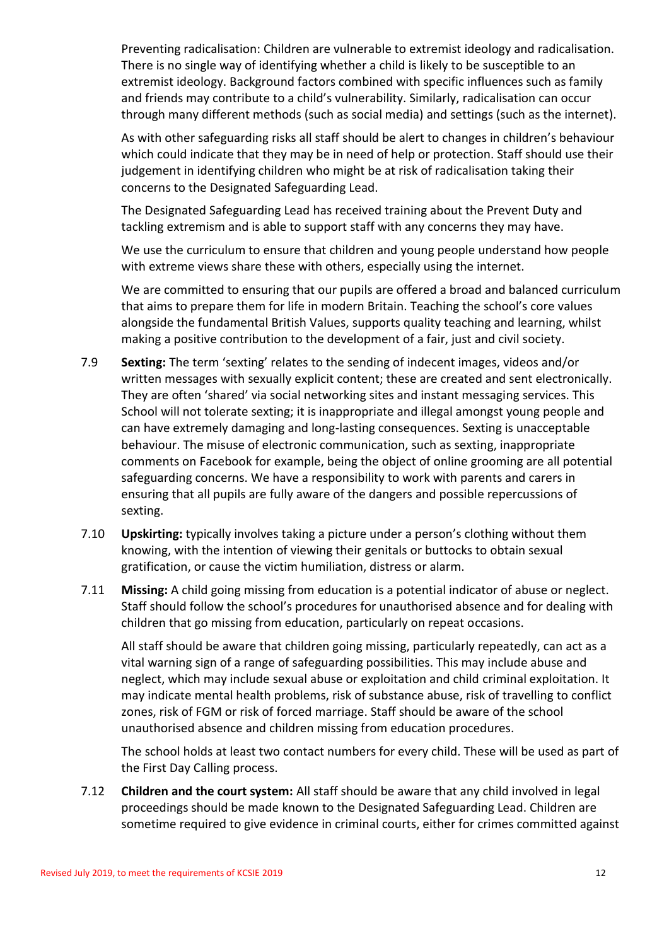Preventing radicalisation: Children are vulnerable to extremist ideology and radicalisation. There is no single way of identifying whether a child is likely to be susceptible to an extremist ideology. Background factors combined with specific influences such as family and friends may contribute to a child's vulnerability. Similarly, radicalisation can occur through many different methods (such as social media) and settings (such as the internet).

As with other safeguarding risks all staff should be alert to changes in children's behaviour which could indicate that they may be in need of help or protection. Staff should use their judgement in identifying children who might be at risk of radicalisation taking their concerns to the Designated Safeguarding Lead.

The Designated Safeguarding Lead has received training about the Prevent Duty and tackling extremism and is able to support staff with any concerns they may have.

We use the curriculum to ensure that children and young people understand how people with extreme views share these with others, especially using the internet.

We are committed to ensuring that our pupils are offered a broad and balanced curriculum that aims to prepare them for life in modern Britain. Teaching the school's core values alongside the fundamental British Values, supports quality teaching and learning, whilst making a positive contribution to the development of a fair, just and civil society.

- 7.9 **Sexting:** The term 'sexting' relates to the sending of indecent images, videos and/or written messages with sexually explicit content; these are created and sent electronically. They are often 'shared' via social networking sites and instant messaging services. This School will not tolerate sexting; it is inappropriate and illegal amongst young people and can have extremely damaging and long-lasting consequences. Sexting is unacceptable behaviour. The misuse of electronic communication, such as sexting, inappropriate comments on Facebook for example, being the object of online grooming are all potential safeguarding concerns. We have a responsibility to work with parents and carers in ensuring that all pupils are fully aware of the dangers and possible repercussions of sexting.
- 7.10 **Upskirting:** typically involves taking a picture under a person's clothing without them knowing, with the intention of viewing their genitals or buttocks to obtain sexual gratification, or cause the victim humiliation, distress or alarm.
- 7.11 **Missing:** A child going missing from education is a potential indicator of abuse or neglect. Staff should follow the school's procedures for unauthorised absence and for dealing with children that go missing from education, particularly on repeat occasions.

All staff should be aware that children going missing, particularly repeatedly, can act as a vital warning sign of a range of safeguarding possibilities. This may include abuse and neglect, which may include sexual abuse or exploitation and child criminal exploitation. It may indicate mental health problems, risk of substance abuse, risk of travelling to conflict zones, risk of FGM or risk of forced marriage. Staff should be aware of the school unauthorised absence and children missing from education procedures.

The school holds at least two contact numbers for every child. These will be used as part of the First Day Calling process.

7.12 **Children and the court system:** All staff should be aware that any child involved in legal proceedings should be made known to the Designated Safeguarding Lead. Children are sometime required to give evidence in criminal courts, either for crimes committed against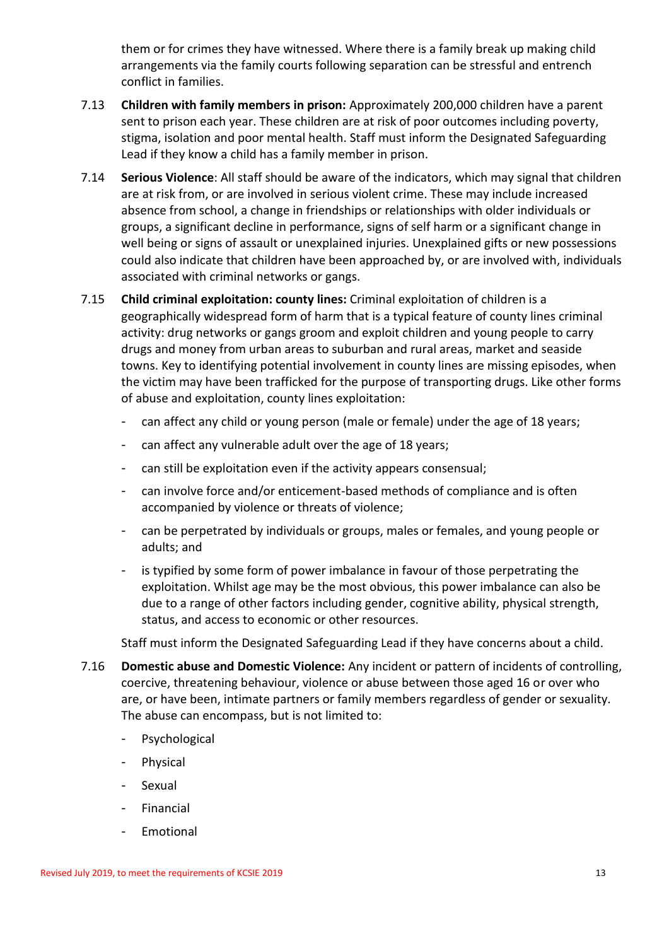them or for crimes they have witnessed. Where there is a family break up making child arrangements via the family courts following separation can be stressful and entrench conflict in families.

- 7.13 **Children with family members in prison:** Approximately 200,000 children have a parent sent to prison each year. These children are at risk of poor outcomes including poverty, stigma, isolation and poor mental health. Staff must inform the Designated Safeguarding Lead if they know a child has a family member in prison.
- 7.14 **Serious Violence**: All staff should be aware of the indicators, which may signal that children are at risk from, or are involved in serious violent crime. These may include increased absence from school, a change in friendships or relationships with older individuals or groups, a significant decline in performance, signs of self harm or a significant change in well being or signs of assault or unexplained injuries. Unexplained gifts or new possessions could also indicate that children have been approached by, or are involved with, individuals associated with criminal networks or gangs.
- 7.15 **Child criminal exploitation: county lines:** Criminal exploitation of children is a geographically widespread form of harm that is a typical feature of county lines criminal activity: drug networks or gangs groom and exploit children and young people to carry drugs and money from urban areas to suburban and rural areas, market and seaside towns. Key to identifying potential involvement in county lines are missing episodes, when the victim may have been trafficked for the purpose of transporting drugs. Like other forms of abuse and exploitation, county lines exploitation:
	- can affect any child or young person (male or female) under the age of 18 years;
	- can affect any vulnerable adult over the age of 18 years;
	- can still be exploitation even if the activity appears consensual;
	- can involve force and/or enticement-based methods of compliance and is often accompanied by violence or threats of violence;
	- can be perpetrated by individuals or groups, males or females, and young people or adults; and
	- is typified by some form of power imbalance in favour of those perpetrating the exploitation. Whilst age may be the most obvious, this power imbalance can also be due to a range of other factors including gender, cognitive ability, physical strength, status, and access to economic or other resources.

Staff must inform the Designated Safeguarding Lead if they have concerns about a child.

- 7.16 **Domestic abuse and Domestic Violence:** Any incident or pattern of incidents of controlling, coercive, threatening behaviour, violence or abuse between those aged 16 or over who are, or have been, intimate partners or family members regardless of gender or sexuality. The abuse can encompass, but is not limited to:
	- Psychological
	- **Physical**
	- Sexual
	- Financial
	- **Emotional**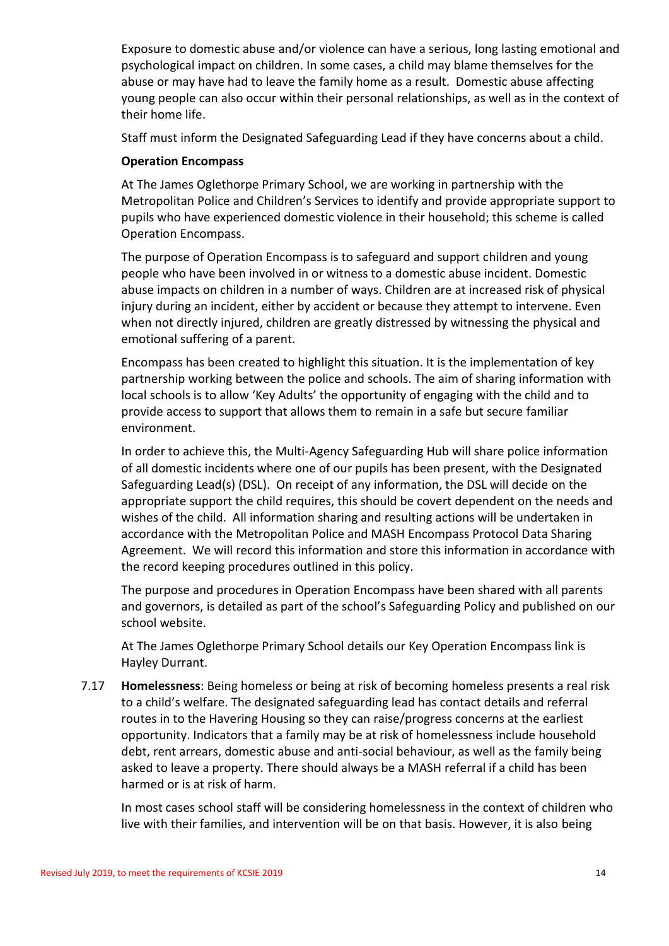Exposure to domestic abuse and/or violence can have a serious, long lasting emotional and psychological impact on children. In some cases, a child may blame themselves for the abuse or may have had to leave the family home as a result. Domestic abuse affecting young people can also occur within their personal relationships, as well as in the context of their home life.

Staff must inform the Designated Safeguarding Lead if they have concerns about a child.

# **Operation Encompass**

At The James Oglethorpe Primary School, we are working in partnership with the Metropolitan Police and Children's Services to identify and provide appropriate support to pupils who have experienced domestic violence in their household; this scheme is called Operation Encompass.

The purpose of Operation Encompass is to safeguard and support children and young people who have been involved in or witness to a domestic abuse incident. Domestic abuse impacts on children in a number of ways. Children are at increased risk of physical injury during an incident, either by accident or because they attempt to intervene. Even when not directly injured, children are greatly distressed by witnessing the physical and emotional suffering of a parent.

Encompass has been created to highlight this situation. It is the implementation of key partnership working between the police and schools. The aim of sharing information with local schools is to allow 'Key Adults' the opportunity of engaging with the child and to provide access to support that allows them to remain in a safe but secure familiar environment.

In order to achieve this, the Multi-Agency Safeguarding Hub will share police information of all domestic incidents where one of our pupils has been present, with the Designated Safeguarding Lead(s) (DSL). On receipt of any information, the DSL will decide on the appropriate support the child requires, this should be covert dependent on the needs and wishes of the child. All information sharing and resulting actions will be undertaken in accordance with the Metropolitan Police and MASH Encompass Protocol Data Sharing Agreement. We will record this information and store this information in accordance with the record keeping procedures outlined in this policy.

The purpose and procedures in Operation Encompass have been shared with all parents and governors, is detailed as part of the school's Safeguarding Policy and published on our school website.

At The James Oglethorpe Primary School details our Key Operation Encompass link is Hayley Durrant.

7.17 **Homelessness**: Being homeless or being at risk of becoming homeless presents a real risk to a child's welfare. The designated safeguarding lead has contact details and referral routes in to the Havering Housing so they can raise/progress concerns at the earliest opportunity. Indicators that a family may be at risk of homelessness include household debt, rent arrears, domestic abuse and anti-social behaviour, as well as the family being asked to leave a property. There should always be a MASH referral if a child has been harmed or is at risk of harm.

In most cases school staff will be considering homelessness in the context of children who live with their families, and intervention will be on that basis. However, it is also being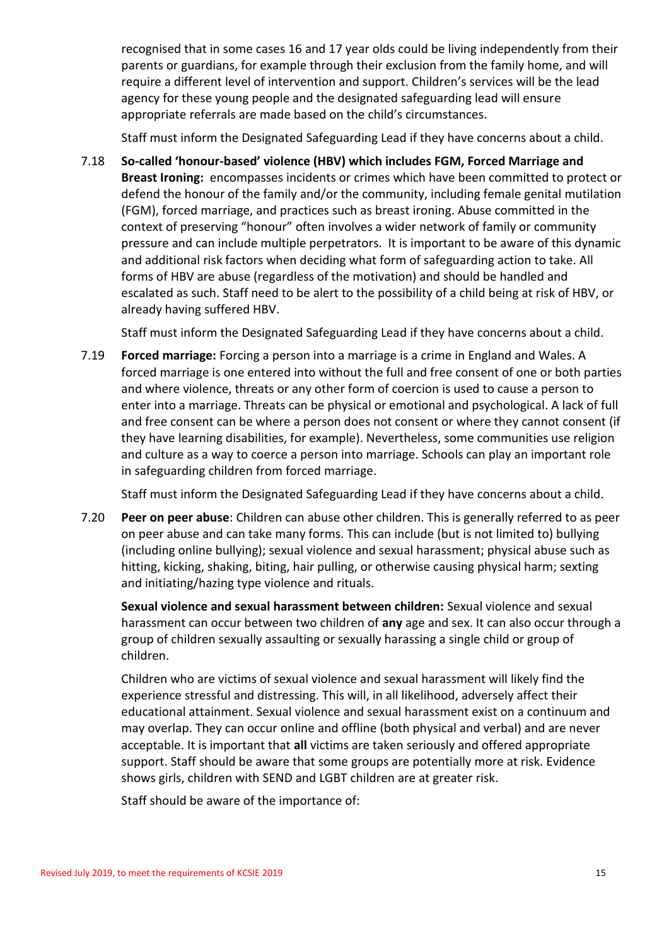recognised that in some cases 16 and 17 year olds could be living independently from their parents or guardians, for example through their exclusion from the family home, and will require a different level of intervention and support. Children's services will be the lead agency for these young people and the designated safeguarding lead will ensure appropriate referrals are made based on the child's circumstances.

Staff must inform the Designated Safeguarding Lead if they have concerns about a child.

7.18 **So-called 'honour-based' violence (HBV) which includes FGM, Forced Marriage and Breast Ironing:** encompasses incidents or crimes which have been committed to protect or defend the honour of the family and/or the community, including female genital mutilation (FGM), forced marriage, and practices such as breast ironing. Abuse committed in the context of preserving "honour" often involves a wider network of family or community pressure and can include multiple perpetrators. It is important to be aware of this dynamic and additional risk factors when deciding what form of safeguarding action to take. All forms of HBV are abuse (regardless of the motivation) and should be handled and escalated as such. Staff need to be alert to the possibility of a child being at risk of HBV, or already having suffered HBV.

Staff must inform the Designated Safeguarding Lead if they have concerns about a child.

7.19 **Forced marriage:** Forcing a person into a marriage is a crime in England and Wales. A forced marriage is one entered into without the full and free consent of one or both parties and where violence, threats or any other form of coercion is used to cause a person to enter into a marriage. Threats can be physical or emotional and psychological. A lack of full and free consent can be where a person does not consent or where they cannot consent (if they have learning disabilities, for example). Nevertheless, some communities use religion and culture as a way to coerce a person into marriage. Schools can play an important role in safeguarding children from forced marriage.

Staff must inform the Designated Safeguarding Lead if they have concerns about a child.

7.20 **Peer on peer abuse**: Children can abuse other children. This is generally referred to as peer on peer abuse and can take many forms. This can include (but is not limited to) bullying (including online bullying); sexual violence and sexual harassment; physical abuse such as hitting, kicking, shaking, biting, hair pulling, or otherwise causing physical harm; sexting and initiating/hazing type violence and rituals.

**Sexual violence and sexual harassment between children:** Sexual violence and sexual harassment can occur between two children of **any** age and sex. It can also occur through a group of children sexually assaulting or sexually harassing a single child or group of children.

Children who are victims of sexual violence and sexual harassment will likely find the experience stressful and distressing. This will, in all likelihood, adversely affect their educational attainment. Sexual violence and sexual harassment exist on a continuum and may overlap. They can occur online and offline (both physical and verbal) and are never acceptable. It is important that **all** victims are taken seriously and offered appropriate support. Staff should be aware that some groups are potentially more at risk. Evidence shows girls, children with SEND and LGBT children are at greater risk.

Staff should be aware of the importance of: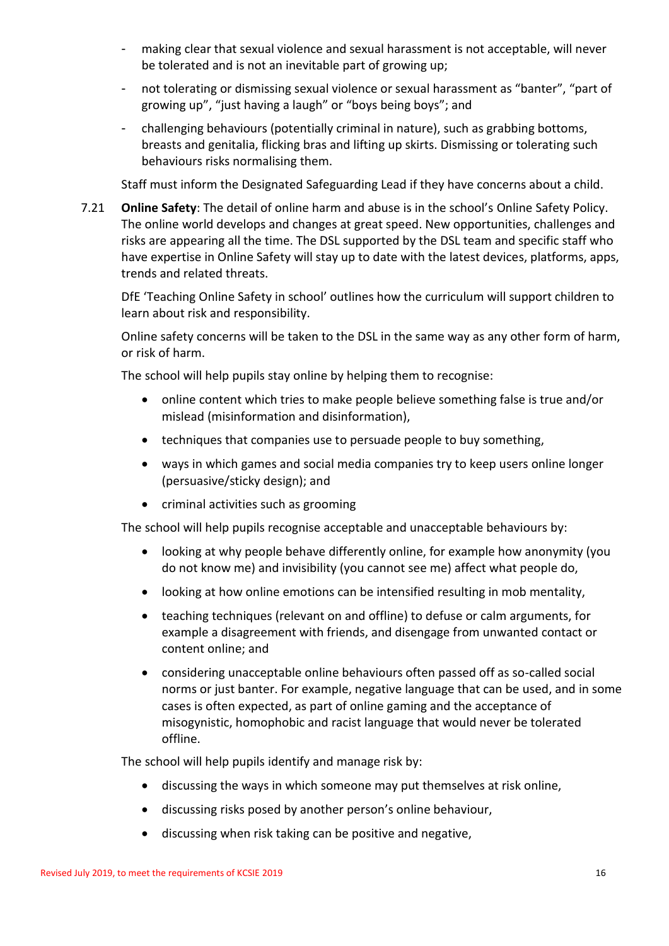- making clear that sexual violence and sexual harassment is not acceptable, will never be tolerated and is not an inevitable part of growing up;
- not tolerating or dismissing sexual violence or sexual harassment as "banter", "part of growing up", "just having a laugh" or "boys being boys"; and
- challenging behaviours (potentially criminal in nature), such as grabbing bottoms, breasts and genitalia, flicking bras and lifting up skirts. Dismissing or tolerating such behaviours risks normalising them.

Staff must inform the Designated Safeguarding Lead if they have concerns about a child.

7.21 **Online Safety**: The detail of online harm and abuse is in the school's Online Safety Policy. The online world develops and changes at great speed. New opportunities, challenges and risks are appearing all the time. The DSL supported by the DSL team and specific staff who have expertise in Online Safety will stay up to date with the latest devices, platforms, apps, trends and related threats.

DfE 'Teaching Online Safety in school' outlines how the curriculum will support children to learn about risk and responsibility.

Online safety concerns will be taken to the DSL in the same way as any other form of harm, or risk of harm.

The school will help pupils stay online by helping them to recognise:

- online content which tries to make people believe something false is true and/or mislead (misinformation and disinformation),
- techniques that companies use to persuade people to buy something,
- ways in which games and social media companies try to keep users online longer (persuasive/sticky design); and
- criminal activities such as grooming

The school will help pupils recognise acceptable and unacceptable behaviours by:

- looking at why people behave differently online, for example how anonymity (you do not know me) and invisibility (you cannot see me) affect what people do,
- looking at how online emotions can be intensified resulting in mob mentality,
- teaching techniques (relevant on and offline) to defuse or calm arguments, for example a disagreement with friends, and disengage from unwanted contact or content online; and
- considering unacceptable online behaviours often passed off as so-called social norms or just banter. For example, negative language that can be used, and in some cases is often expected, as part of online gaming and the acceptance of misogynistic, homophobic and racist language that would never be tolerated offline.

The school will help pupils identify and manage risk by:

- discussing the ways in which someone may put themselves at risk online,
- discussing risks posed by another person's online behaviour,
- discussing when risk taking can be positive and negative,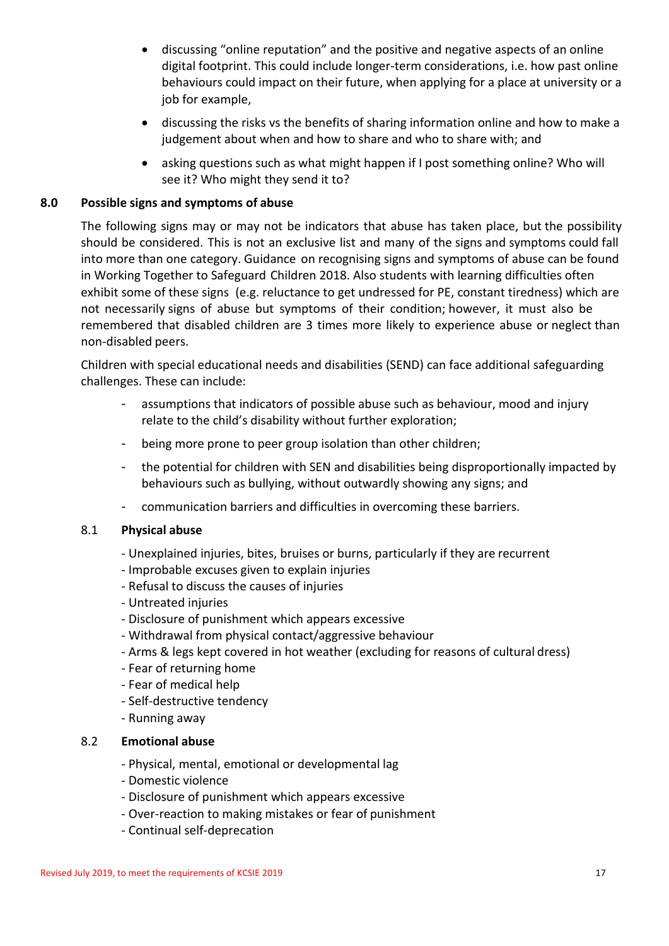- discussing "online reputation" and the positive and negative aspects of an online digital footprint. This could include longer-term considerations, i.e. how past online behaviours could impact on their future, when applying for a place at university or a job for example,
- discussing the risks vs the benefits of sharing information online and how to make a judgement about when and how to share and who to share with; and
- asking questions such as what might happen if I post something online? Who will see it? Who might they send it to?

# **8.0 Possible signs and symptoms of abuse**

The following signs may or may not be indicators that abuse has taken place, but the possibility should be considered. This is not an exclusive list and many of the signs and symptoms could fall into more than one category. Guidance on recognising signs and symptoms of abuse can be found in Working Together to Safeguard Children 2018. Also students with learning difficulties often exhibit some of these signs (e.g. reluctance to get undressed for PE, constant tiredness) which are not necessarily signs of abuse but symptoms of their condition; however, it must also be remembered that disabled children are 3 times more likely to experience abuse or neglect than non-disabled peers.

Children with special educational needs and disabilities (SEND) can face additional safeguarding challenges. These can include:

- assumptions that indicators of possible abuse such as behaviour, mood and injury relate to the child's disability without further exploration;
- being more prone to peer group isolation than other children;
- the potential for children with SEN and disabilities being disproportionally impacted by behaviours such as bullying, without outwardly showing any signs; and
- communication barriers and difficulties in overcoming these barriers.

#### 8.1 **Physical abuse**

- Unexplained injuries, bites, bruises or burns, particularly if they are recurrent
- Improbable excuses given to explain injuries
- Refusal to discuss the causes of injuries
- Untreated injuries
- Disclosure of punishment which appears excessive
- Withdrawal from physical contact/aggressive behaviour
- Arms & legs kept covered in hot weather (excluding for reasons of cultural dress)
- Fear of returning home
- Fear of medical help
- Self-destructive tendency
- Running away

#### 8.2 **Emotional abuse**

- Physical, mental, emotional or developmental lag
- Domestic violence
- Disclosure of punishment which appears excessive
- Over-reaction to making mistakes or fear of punishment
- Continual self-deprecation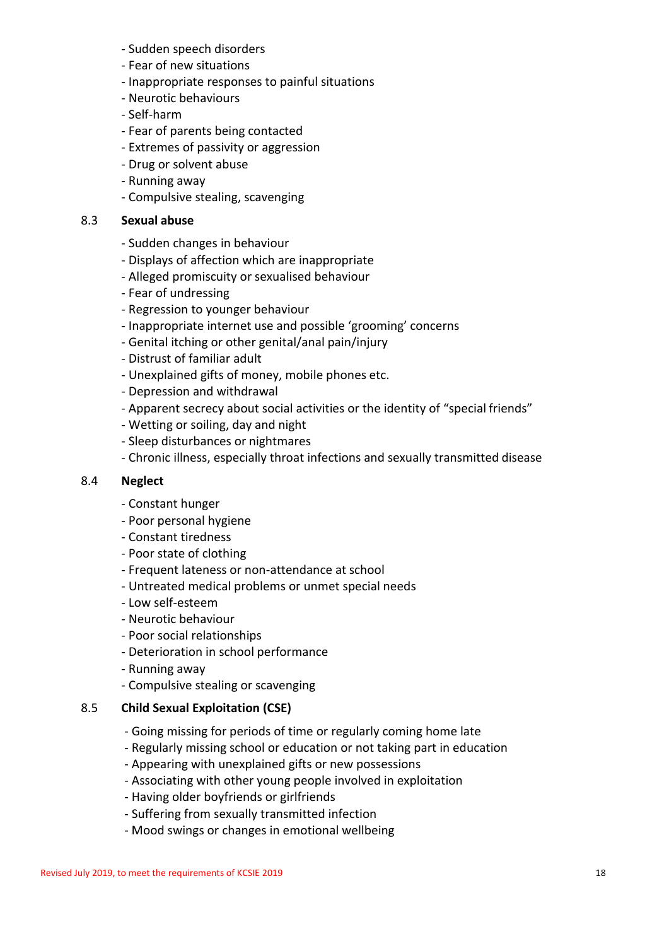- Sudden speech disorders
- Fear of new situations
- Inappropriate responses to painful situations
- Neurotic behaviours
- Self-harm
- Fear of parents being contacted
- Extremes of passivity or aggression
- Drug or solvent abuse
- Running away
- Compulsive stealing, scavenging

## 8.3 **Sexual abuse**

- Sudden changes in behaviour
- Displays of affection which are inappropriate
- Alleged promiscuity or sexualised behaviour
- Fear of undressing
- Regression to younger behaviour
- Inappropriate internet use and possible 'grooming' concerns
- Genital itching or other genital/anal pain/injury
- Distrust of familiar adult
- Unexplained gifts of money, mobile phones etc.
- Depression and withdrawal
- Apparent secrecy about social activities or the identity of "special friends"
- Wetting or soiling, day and night
- Sleep disturbances or nightmares
- Chronic illness, especially throat infections and sexually transmitted disease

#### 8.4 **Neglect**

- Constant hunger
- Poor personal hygiene
- Constant tiredness
- Poor state of clothing
- Frequent lateness or non-attendance at school
- Untreated medical problems or unmet special needs
- Low self-esteem
- Neurotic behaviour
- Poor social relationships
- Deterioration in school performance
- Running away
- Compulsive stealing or scavenging

#### 8.5 **Child Sexual Exploitation (CSE)**

- Going missing for periods of time or regularly coming home late
- Regularly missing school or education or not taking part in education
- Appearing with unexplained gifts or new possessions
- Associating with other young people involved in exploitation
- Having older boyfriends or girlfriends
- Suffering from sexually transmitted infection
- Mood swings or changes in emotional wellbeing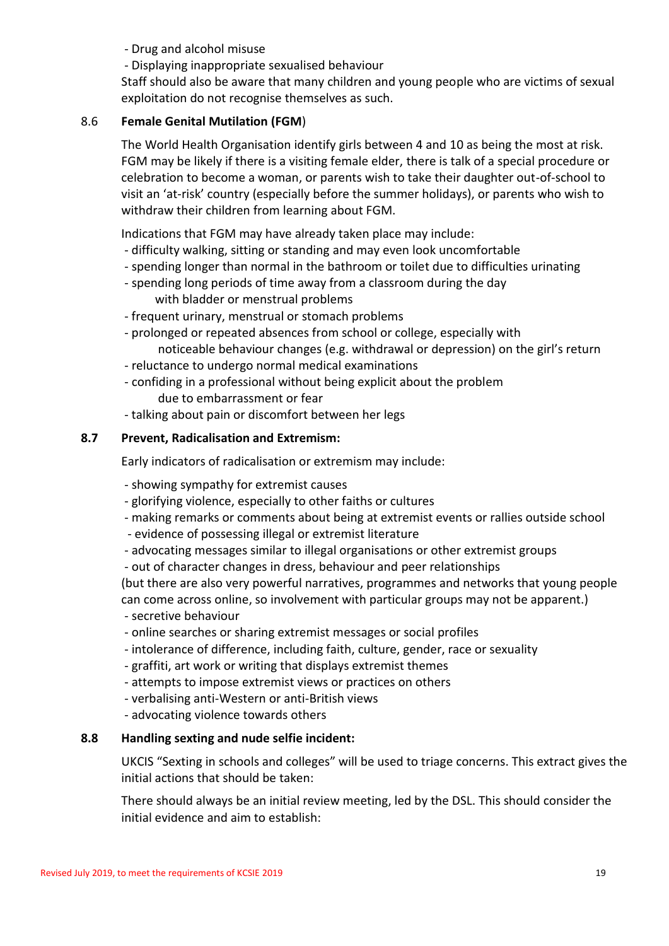- Drug and alcohol misuse

- Displaying inappropriate sexualised behaviour

Staff should also be aware that many children and young people who are victims of sexual exploitation do not recognise themselves as such.

# 8.6 **Female Genital Mutilation (FGM**)

The World Health Organisation identify girls between 4 and 10 as being the most at risk. FGM may be likely if there is a visiting female elder, there is talk of a special procedure or celebration to become a woman, or parents wish to take their daughter out-of-school to visit an 'at-risk' country (especially before the summer holidays), or parents who wish to withdraw their children from learning about FGM.

Indications that FGM may have already taken place may include:

- difficulty walking, sitting or standing and may even look uncomfortable
- spending longer than normal in the bathroom or toilet due to difficulties urinating
- spending long periods of time away from a classroom during the day with bladder or menstrual problems
- frequent urinary, menstrual or stomach problems
- prolonged or repeated absences from school or college, especially with noticeable behaviour changes (e.g. withdrawal or depression) on the girl's return
- reluctance to undergo normal medical examinations
- confiding in a professional without being explicit about the problem due to embarrassment or fear
- talking about pain or discomfort between her legs

# **8.7 Prevent, Radicalisation and Extremism:**

Early indicators of radicalisation or extremism may include:

- showing sympathy for extremist causes
- glorifying violence, especially to other faiths or cultures
- making remarks or comments about being at extremist events or rallies outside school
- evidence of possessing illegal or extremist literature
- advocating messages similar to illegal organisations or other extremist groups
- out of character changes in dress, behaviour and peer relationships

(but there are also very powerful narratives, programmes and networks that young people can come across online, so involvement with particular groups may not be apparent.)

- secretive behaviour
- online searches or sharing extremist messages or social profiles
- intolerance of difference, including faith, culture, gender, race or sexuality
- graffiti, art work or writing that displays extremist themes
- attempts to impose extremist views or practices on others
- verbalising anti-Western or anti-British views
- advocating violence towards others

#### **8.8 Handling sexting and nude selfie incident:**

UKCIS "Sexting in schools and colleges" will be used to triage concerns. This extract gives the initial actions that should be taken:

There should always be an initial review meeting, led by the DSL. This should consider the initial evidence and aim to establish: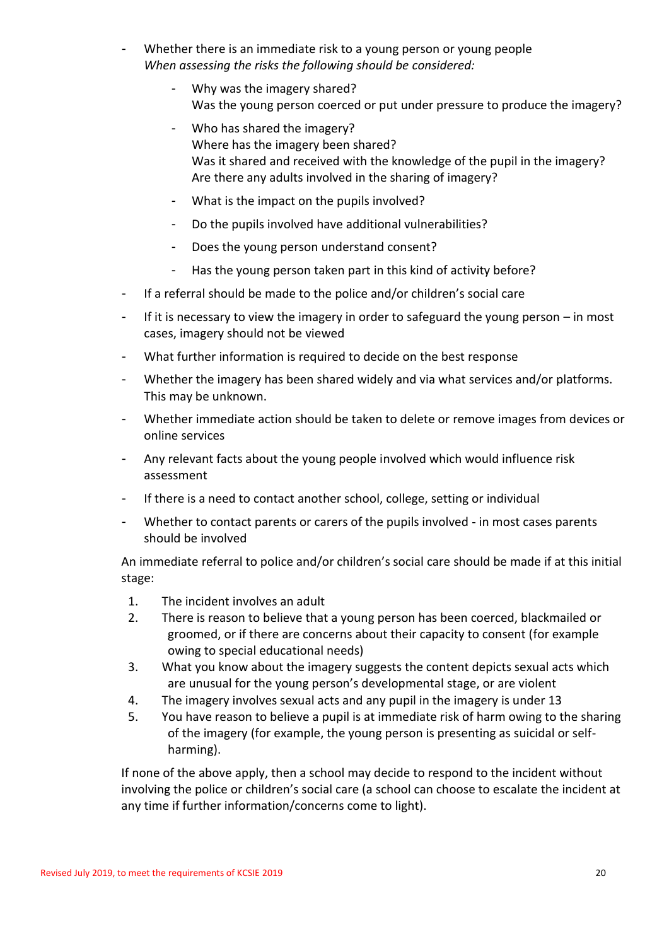- Whether there is an immediate risk to a young person or young people *When assessing the risks the following should be considered:* 
	- Why was the imagery shared? Was the young person coerced or put under pressure to produce the imagery?
	- Who has shared the imagery? Where has the imagery been shared? Was it shared and received with the knowledge of the pupil in the imagery? Are there any adults involved in the sharing of imagery?
	- What is the impact on the pupils involved?
	- Do the pupils involved have additional vulnerabilities?
	- Does the young person understand consent?
	- Has the young person taken part in this kind of activity before?
- If a referral should be made to the police and/or children's social care
- If it is necessary to view the imagery in order to safeguard the young person in most cases, imagery should not be viewed
- What further information is required to decide on the best response
- Whether the imagery has been shared widely and via what services and/or platforms. This may be unknown.
- Whether immediate action should be taken to delete or remove images from devices or online services
- Any relevant facts about the young people involved which would influence risk assessment
- If there is a need to contact another school, college, setting or individual
- Whether to contact parents or carers of the pupils involved in most cases parents should be involved

An immediate referral to police and/or children's social care should be made if at this initial stage:

- 1. The incident involves an adult
- 2. There is reason to believe that a young person has been coerced, blackmailed or groomed, or if there are concerns about their capacity to consent (for example owing to special educational needs)
- 3. What you know about the imagery suggests the content depicts sexual acts which are unusual for the young person's developmental stage, or are violent
- 4. The imagery involves sexual acts and any pupil in the imagery is under 13
- 5. You have reason to believe a pupil is at immediate risk of harm owing to the sharing of the imagery (for example, the young person is presenting as suicidal or selfharming).

If none of the above apply, then a school may decide to respond to the incident without involving the police or children's social care (a school can choose to escalate the incident at any time if further information/concerns come to light).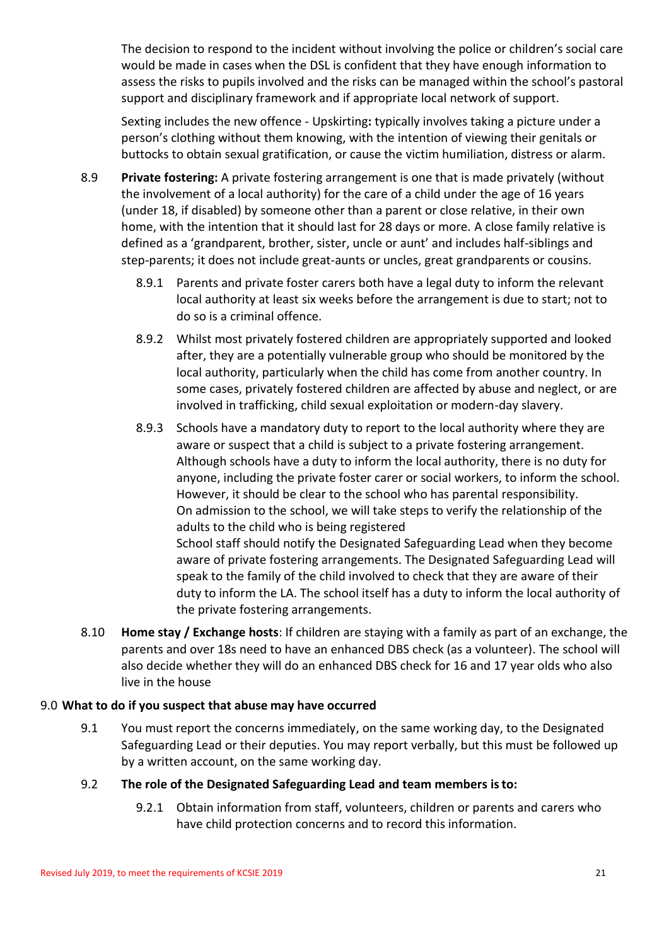The decision to respond to the incident without involving the police or children's social care would be made in cases when the DSL is confident that they have enough information to assess the risks to pupils involved and the risks can be managed within the school's pastoral support and disciplinary framework and if appropriate local network of support.

Sexting includes the new offence - Upskirting**:** typically involves taking a picture under a person's clothing without them knowing, with the intention of viewing their genitals or buttocks to obtain sexual gratification, or cause the victim humiliation, distress or alarm.

- 8.9 **Private fostering:** A private fostering arrangement is one that is made privately (without the involvement of a local authority) for the care of a child under the age of 16 years (under 18, if disabled) by someone other than a parent or close relative, in their own home, with the intention that it should last for 28 days or more. A close family relative is defined as a 'grandparent, brother, sister, uncle or aunt' and includes half-siblings and step-parents; it does not include great-aunts or uncles, great grandparents or cousins.
	- 8.9.1 Parents and private foster carers both have a legal duty to inform the relevant local authority at least six weeks before the arrangement is due to start; not to do so is a criminal offence.
	- 8.9.2 Whilst most privately fostered children are appropriately supported and looked after, they are a potentially vulnerable group who should be monitored by the local authority, particularly when the child has come from another country. In some cases, privately fostered children are affected by abuse and neglect, or are involved in trafficking, child sexual exploitation or modern-day slavery.
	- 8.9.3 Schools have a mandatory duty to report to the local authority where they are aware or suspect that a child is subject to a private fostering arrangement. Although schools have a duty to inform the local authority, there is no duty for anyone, including the private foster carer or social workers, to inform the school. However, it should be clear to the school who has parental responsibility. On admission to the school, we will take steps to verify the relationship of the adults to the child who is being registered School staff should notify the Designated Safeguarding Lead when they become aware of private fostering arrangements. The Designated Safeguarding Lead will speak to the family of the child involved to check that they are aware of their duty to inform the LA. The school itself has a duty to inform the local authority of the private fostering arrangements.
- 8.10 **Home stay / Exchange hosts**: If children are staying with a family as part of an exchange, the parents and over 18s need to have an enhanced DBS check (as a volunteer). The school will also decide whether they will do an enhanced DBS check for 16 and 17 year olds who also live in the house

# 9.0 **What to do if you suspect that abuse may have occurred**

- 9.1 You must report the concerns immediately, on the same working day, to the Designated Safeguarding Lead or their deputies. You may report verbally, but this must be followed up by a written account, on the same working day.
- 9.2 **The role of the Designated Safeguarding Lead and team members isto:**
	- 9.2.1 Obtain information from staff, volunteers, children or parents and carers who have child protection concerns and to record this information.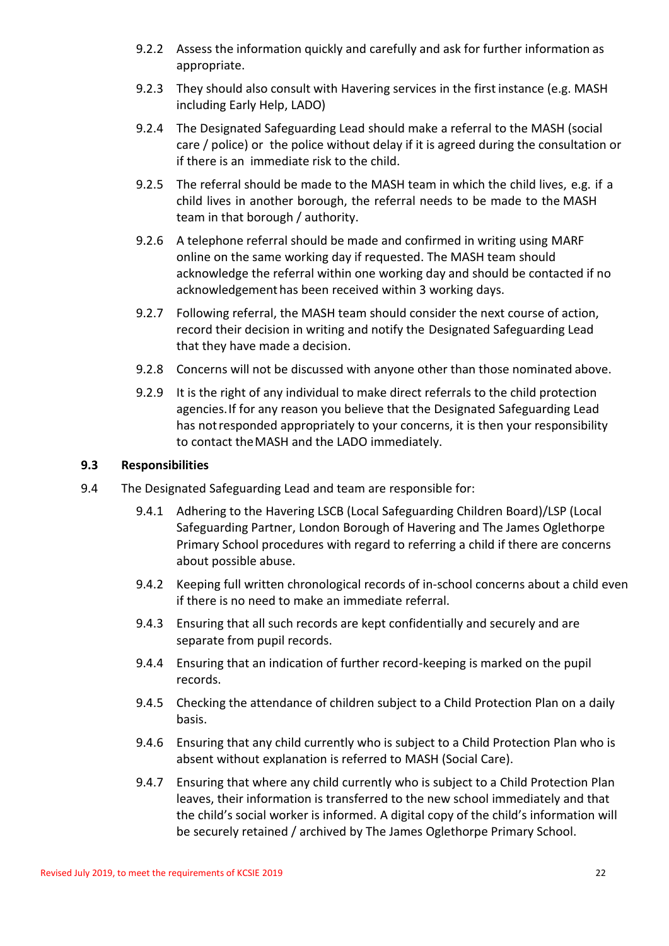- 9.2.2 Assess the information quickly and carefully and ask for further information as appropriate.
- 9.2.3 They should also consult with Havering services in the first instance (e.g. MASH including Early Help, LADO)
- 9.2.4 The Designated Safeguarding Lead should make a referral to the MASH (social care / police) or the police without delay if it is agreed during the consultation or if there is an immediate risk to the child.
- 9.2.5 The referral should be made to the MASH team in which the child lives, e.g. if a child lives in another borough, the referral needs to be made to the MASH team in that borough / authority.
- 9.2.6 A telephone referral should be made and confirmed in writing using MARF online on the same working day if requested. The MASH team should acknowledge the referral within one working day and should be contacted if no acknowledgement has been received within 3 working days.
- 9.2.7 Following referral, the MASH team should consider the next course of action, record their decision in writing and notify the Designated Safeguarding Lead that they have made a decision.
- 9.2.8 Concerns will not be discussed with anyone other than those nominated above.
- 9.2.9 It is the right of any individual to make direct referrals to the child protection agencies.If for any reason you believe that the Designated Safeguarding Lead has notresponded appropriately to your concerns, it is then your responsibility to contact theMASH and the LADO immediately.

# **9.3 Responsibilities**

- 9.4 The Designated Safeguarding Lead and team are responsible for:
	- 9.4.1 Adhering to the Havering LSCB (Local Safeguarding Children Board)/LSP (Local Safeguarding Partner, London Borough of Havering and The James Oglethorpe Primary School procedures with regard to referring a child if there are concerns about possible abuse.
	- 9.4.2 Keeping full written chronological records of in-school concerns about a child even if there is no need to make an immediate referral.
	- 9.4.3 Ensuring that all such records are kept confidentially and securely and are separate from pupil records.
	- 9.4.4 Ensuring that an indication of further record-keeping is marked on the pupil records.
	- 9.4.5 Checking the attendance of children subject to a Child Protection Plan on a daily basis.
	- 9.4.6 Ensuring that any child currently who is subject to a Child Protection Plan who is absent without explanation is referred to MASH (Social Care).
	- 9.4.7 Ensuring that where any child currently who is subject to a Child Protection Plan leaves, their information is transferred to the new school immediately and that the child's social worker is informed. A digital copy of the child's information will be securely retained / archived by The James Oglethorpe Primary School.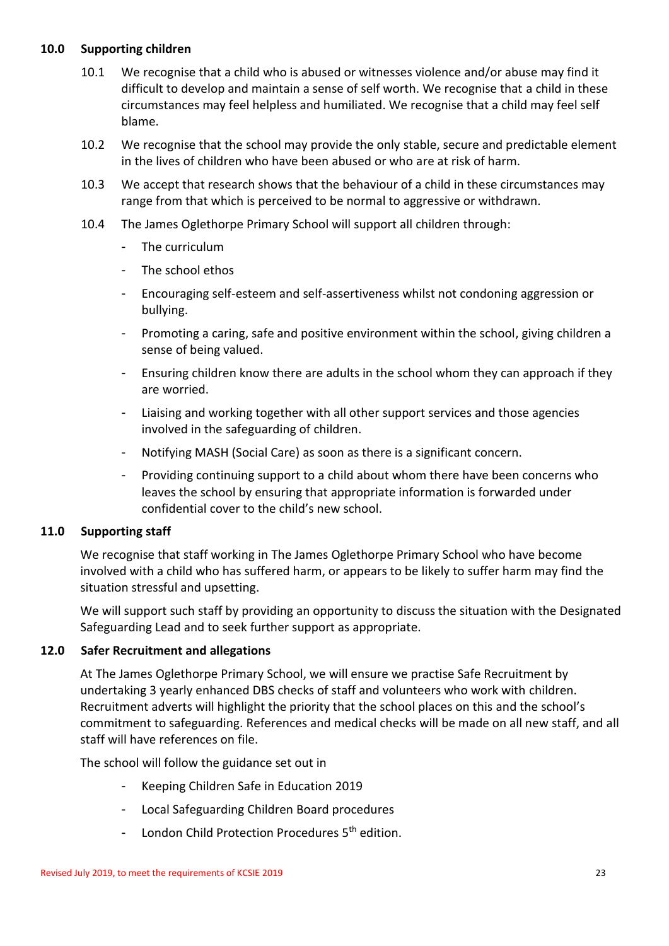#### **10.0 Supporting children**

- 10.1 We recognise that a child who is abused or witnesses violence and/or abuse may find it difficult to develop and maintain a sense of self worth. We recognise that a child in these circumstances may feel helpless and humiliated. We recognise that a child may feel self blame.
- 10.2 We recognise that the school may provide the only stable, secure and predictable element in the lives of children who have been abused or who are at risk of harm.
- 10.3 We accept that research shows that the behaviour of a child in these circumstances may range from that which is perceived to be normal to aggressive or withdrawn.
- 10.4 The James Oglethorpe Primary School will support all children through:
	- The curriculum
	- The school ethos
	- Encouraging self-esteem and self-assertiveness whilst not condoning aggression or bullying.
	- Promoting a caring, safe and positive environment within the school, giving children a sense of being valued.
	- Ensuring children know there are adults in the school whom they can approach if they are worried.
	- Liaising and working together with all other support services and those agencies involved in the safeguarding of children.
	- Notifying MASH (Social Care) as soon as there is a significant concern.
	- Providing continuing support to a child about whom there have been concerns who leaves the school by ensuring that appropriate information is forwarded under confidential cover to the child's new school.

# **11.0 Supporting staff**

We recognise that staff working in The James Oglethorpe Primary School who have become involved with a child who has suffered harm, or appears to be likely to suffer harm may find the situation stressful and upsetting.

We will support such staff by providing an opportunity to discuss the situation with the Designated Safeguarding Lead and to seek further support as appropriate.

# **12.0 Safer Recruitment and allegations**

At The James Oglethorpe Primary School, we will ensure we practise Safe Recruitment by undertaking 3 yearly enhanced DBS checks of staff and volunteers who work with children. Recruitment adverts will highlight the priority that the school places on this and the school's commitment to safeguarding. References and medical checks will be made on all new staff, and all staff will have references on file.

The school will follow the guidance set out in

- Keeping Children Safe in Education 2019
- Local Safeguarding Children Board procedures
- London Child Protection Procedures 5<sup>th</sup> edition.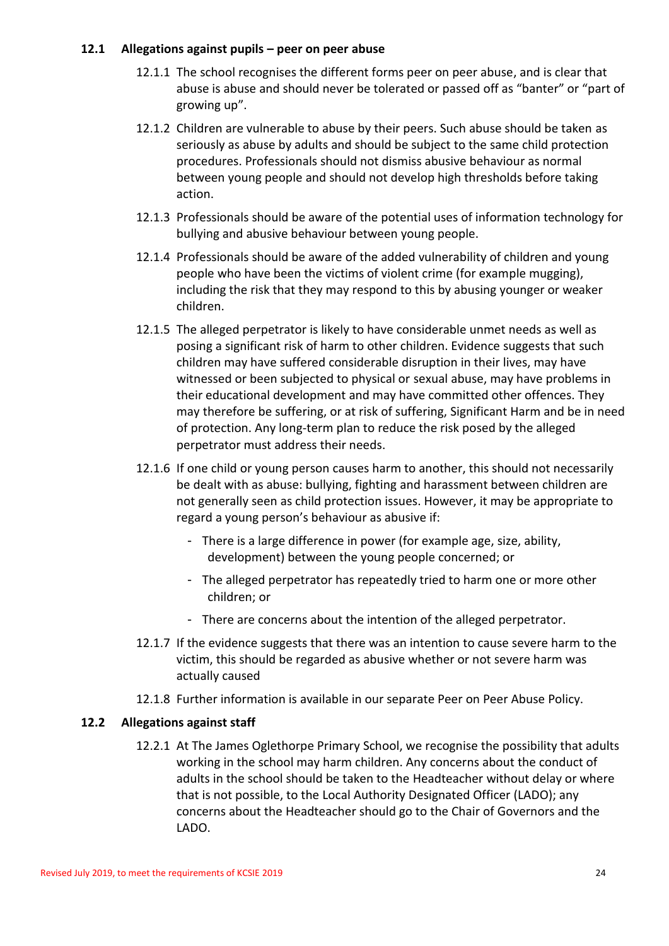## **12.1 Allegations against pupils – peer on peer abuse**

- 12.1.1 The school recognises the different forms peer on peer abuse, and is clear that abuse is abuse and should never be tolerated or passed off as "banter" or "part of growing up".
- 12.1.2 Children are vulnerable to abuse by their peers. Such abuse should be taken as seriously as abuse by adults and should be subject to the same child protection procedures. Professionals should not dismiss abusive behaviour as normal between young people and should not develop high thresholds before taking action.
- 12.1.3 Professionals should be aware of the potential uses of information technology for bullying and abusive behaviour between young people.
- 12.1.4 Professionals should be aware of the added vulnerability of children and young people who have been the victims of violent crime (for example mugging), including the risk that they may respond to this by abusing younger or weaker children.
- 12.1.5 The alleged perpetrator is likely to have considerable unmet needs as well as posing a significant risk of harm to other children. Evidence suggests that such children may have suffered considerable disruption in their lives, may have witnessed or been subjected to physical or [sexual abuse,](http://trixresources.proceduresonline.com/nat_key/keywords/sexual_abuse.html) may have problems in their educational development and may have committed other offences. They may therefore be suffering, or at risk of suffering, [Significant Harm](http://trixresources.proceduresonline.com/nat_key/keywords/significant_harm.html) and be in need of protection. Any long-term plan to reduce the risk posed by the alleged perpetrator must address their needs.
- 12.1.6 If one child or young person causes harm to another, this should not necessarily be dealt with as abuse: bullying, fighting and harassment between children are not generally seen as child protection issues. However, it may be appropriate to regard a young person's behaviour as abusive if:
	- There is a large difference in power (for example age, size, ability, development) between the young people concerned; or
	- The alleged perpetrator has repeatedly tried to harm one or more other children; or
	- There are concerns about the intention of the alleged perpetrator.
- 12.1.7 If the evidence suggests that there was an intention to cause severe harm to the victim, this should be regarded as abusive whether or not severe harm was actually caused
- 12.1.8 Further information is available in our separate Peer on Peer Abuse Policy.

# **12.2 Allegations against staff**

12.2.1 At The James Oglethorpe Primary School, we recognise the possibility that adults working in the school may harm children. Any concerns about the conduct of adults in the school should be taken to the Headteacher without delay or where that is not possible, to the Local Authority Designated Officer (LADO); any concerns about the Headteacher should go to the Chair of Governors and the LADO.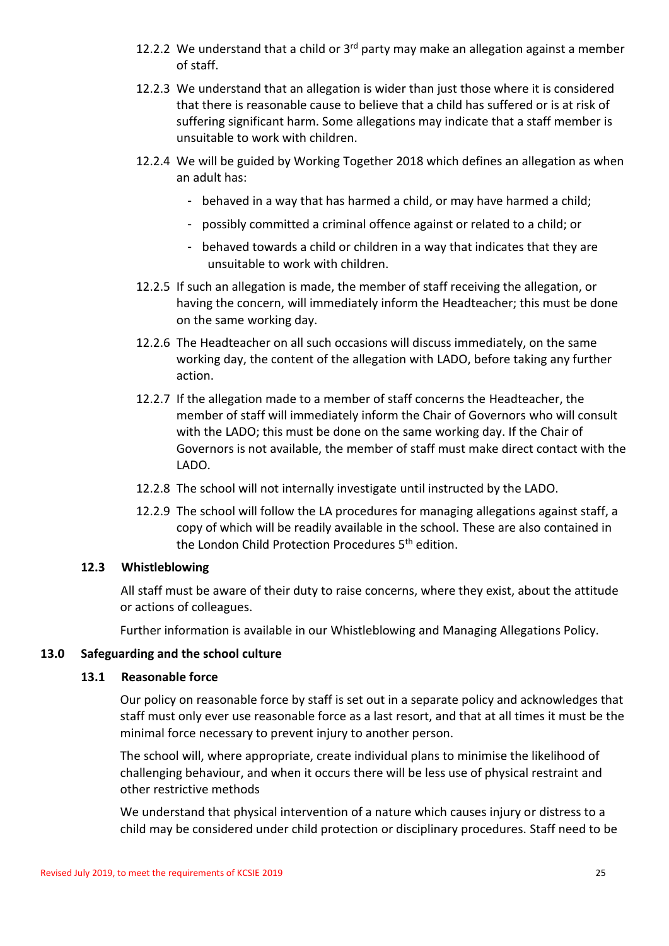- 12.2.2 We understand that a child or  $3<sup>rd</sup>$  party may make an allegation against a member of staff.
- 12.2.3 We understand that an allegation is wider than just those where it is considered that there is reasonable cause to believe that a child has suffered or is at risk of suffering significant harm. Some allegations may indicate that a staff member is unsuitable to work with children.
- 12.2.4 We will be guided by Working Together 2018 which defines an allegation as when an adult has:
	- behaved in a way that has harmed a child, or may have harmed a child;
	- possibly committed a criminal offence against or related to a child; or
	- behaved towards a child or children in a way that indicates that they are unsuitable to work with children.
- 12.2.5 If such an allegation is made, the member of staff receiving the allegation, or having the concern, will immediately inform the Headteacher; this must be done on the same working day.
- 12.2.6 The Headteacher on all such occasions will discuss immediately, on the same working day, the content of the allegation with LADO, before taking any further action.
- 12.2.7 If the allegation made to a member of staff concerns the Headteacher, the member of staff will immediately inform the Chair of Governors who will consult with the LADO; this must be done on the same working day. If the Chair of Governors is not available, the member of staff must make direct contact with the LADO.
- 12.2.8 The school will not internally investigate until instructed by the LADO.
- 12.2.9 The school will follow the LA procedures for managing allegations against staff, a copy of which will be readily available in the school. These are also contained in the London Child Protection Procedures 5<sup>th</sup> edition.

#### **12.3 Whistleblowing**

All staff must be aware of their duty to raise concerns, where they exist, about the attitude or actions of colleagues.

Further information is available in our Whistleblowing and Managing Allegations Policy.

#### **13.0 Safeguarding and the school culture**

#### **13.1 Reasonable force**

Our policy on reasonable force by staff is set out in a separate policy and acknowledges that staff must only ever use reasonable force as a last resort, and that at all times it must be the minimal force necessary to prevent injury to another person.

The school will, where appropriate, create individual plans to minimise the likelihood of challenging behaviour, and when it occurs there will be less use of physical restraint and other restrictive methods

We understand that physical intervention of a nature which causes injury or distress to a child may be considered under child protection or disciplinary procedures. Staff need to be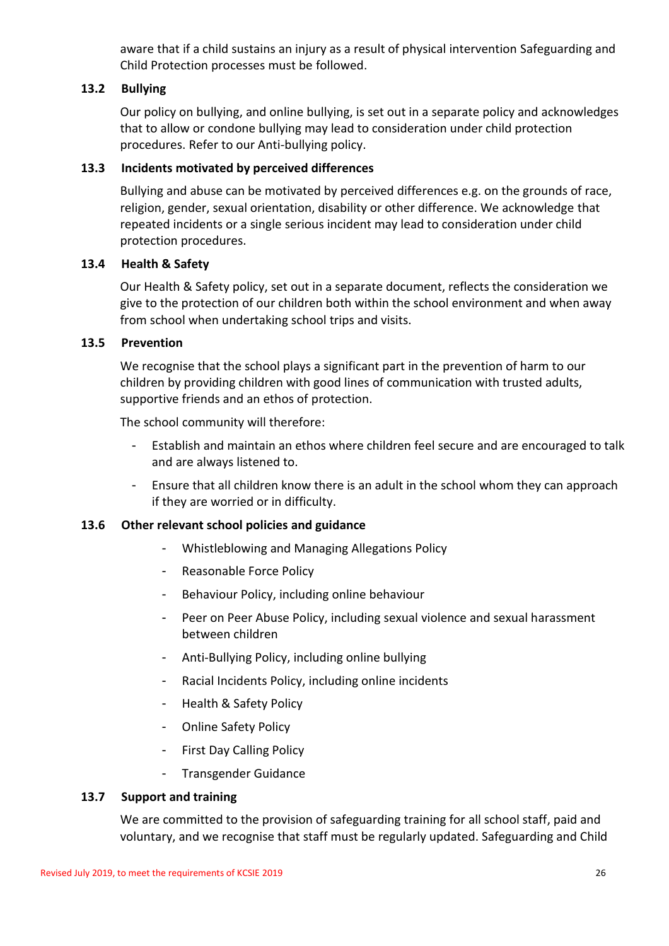aware that if a child sustains an injury as a result of physical intervention Safeguarding and Child Protection processes must be followed.

# **13.2 Bullying**

Our policy on bullying, and online bullying, is set out in a separate policy and acknowledges that to allow or condone bullying may lead to consideration under child protection procedures. Refer to our Anti-bullying policy.

# **13.3 Incidents motivated by perceived differences**

Bullying and abuse can be motivated by perceived differences e.g. on the grounds of race, religion, gender, sexual orientation, disability or other difference. We acknowledge that repeated incidents or a single serious incident may lead to consideration under child protection procedures.

# **13.4 Health & Safety**

Our Health & Safety policy, set out in a separate document, reflects the consideration we give to the protection of our children both within the school environment and when away from school when undertaking school trips and visits.

# **13.5 Prevention**

We recognise that the school plays a significant part in the prevention of harm to our children by providing children with good lines of communication with trusted adults, supportive friends and an ethos of protection.

The school community will therefore:

- Establish and maintain an ethos where children feel secure and are encouraged to talk and are always listened to.
- Ensure that all children know there is an adult in the school whom they can approach if they are worried or in difficulty.

#### **13.6 Other relevant school policies and guidance**

- Whistleblowing and Managing Allegations Policy
- Reasonable Force Policy
- Behaviour Policy, including online behaviour
- Peer on Peer Abuse Policy, including sexual violence and sexual harassment between children
- Anti-Bullying Policy, including online bullying
- Racial Incidents Policy, including online incidents
- Health & Safety Policy
- Online Safety Policy
- First Day Calling Policy
- Transgender Guidance

#### **13.7 Support and training**

We are committed to the provision of safeguarding training for all school staff, paid and voluntary, and we recognise that staff must be regularly updated. Safeguarding and Child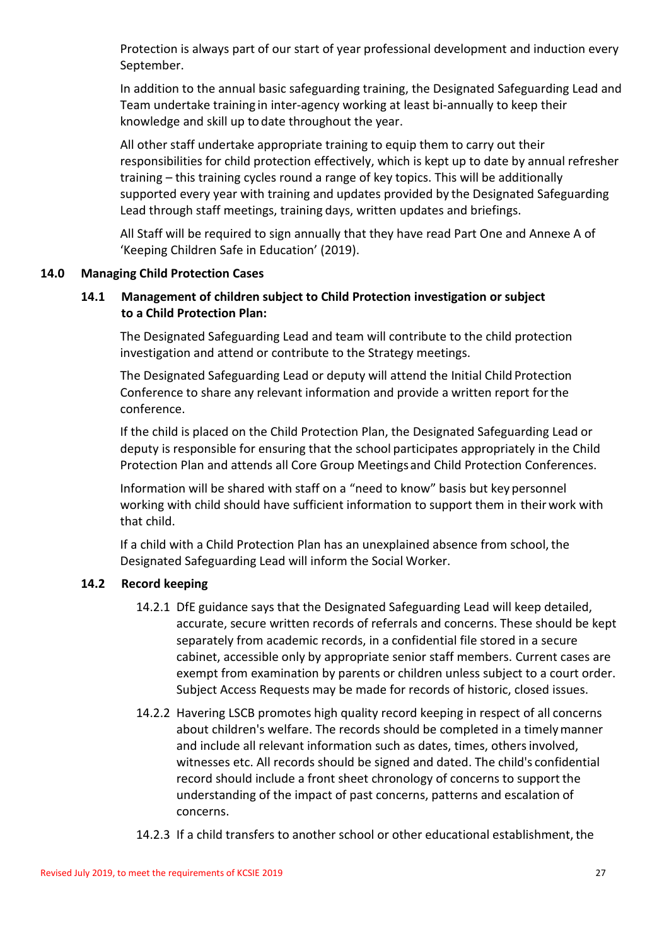Protection is always part of our start of year professional development and induction every September.

In addition to the annual basic safeguarding training, the Designated Safeguarding Lead and Team undertake training in inter-agency working at least bi-annually to keep their knowledge and skill up todate throughout the year.

All other staff undertake appropriate training to equip them to carry out their responsibilities for child protection effectively, which is kept up to date by annual refresher training – this training cycles round a range of key topics. This will be additionally supported every year with training and updates provided by the Designated Safeguarding Lead through staff meetings, training days, written updates and briefings.

All Staff will be required to sign annually that they have read Part One and Annexe A of 'Keeping Children Safe in Education' (2019).

# **14.0 Managing Child Protection Cases**

# **14.1 Management of children subject to Child Protection investigation or subject to a Child Protection Plan:**

The Designated Safeguarding Lead and team will contribute to the child protection investigation and attend or contribute to the Strategy meetings.

The Designated Safeguarding Lead or deputy will attend the Initial Child Protection Conference to share any relevant information and provide a written report forthe conference.

If the child is placed on the Child Protection Plan, the Designated Safeguarding Lead or deputy is responsible for ensuring that the school participates appropriately in the Child Protection Plan and attends all Core Group Meetings and Child Protection Conferences.

Information will be shared with staff on a "need to know" basis but key personnel working with child should have sufficient information to support them in theirwork with that child.

If a child with a Child Protection Plan has an unexplained absence from school, the Designated Safeguarding Lead will inform the Social Worker.

# **14.2 Record keeping**

- 14.2.1 DfE guidance says that the Designated Safeguarding Lead will keep detailed, accurate, secure written records of referrals and concerns. These should be kept separately from academic records, in a confidential file stored in a secure cabinet, accessible only by appropriate senior staff members. Current cases are exempt from examination by parents or children unless subject to a court order. Subject Access Requests may be made for records of historic, closed issues.
- 14.2.2 Havering LSCB promotes high quality record keeping in respect of all concerns about children's welfare. The records should be completed in a timelymanner and include all relevant information such as dates, times, others involved, witnesses etc. All records should be signed and dated. The child's confidential record should include a front sheet chronology of concerns to support the understanding of the impact of past concerns, patterns and escalation of concerns.
- 14.2.3 If a child transfers to another school or other educational establishment, the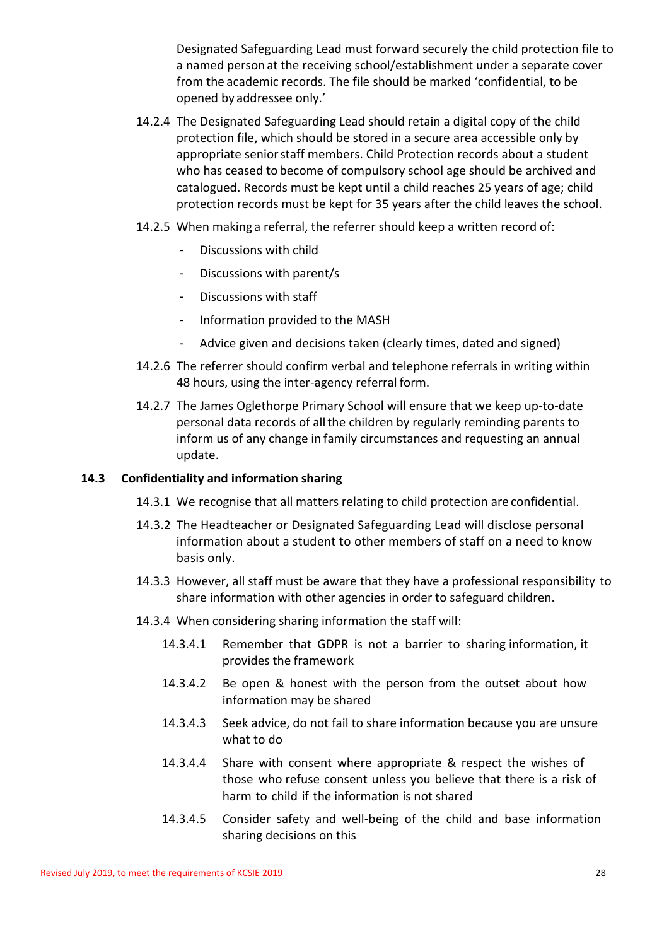Designated Safeguarding Lead must forward securely the child protection file to a named person at the receiving school/establishment under a separate cover from the academic records. The file should be marked 'confidential, to be opened by addressee only.'

- 14.2.4 The Designated Safeguarding Lead should retain a digital copy of the child protection file, which should be stored in a secure area accessible only by appropriate senior staff members. Child Protection records about a student who has ceased to become of compulsory school age should be archived and catalogued. Records must be kept until a child reaches 25 years of age; child protection records must be kept for 35 years after the child leaves the school.
- 14.2.5 When making a referral, the referrer should keep a written record of:
	- Discussions with child
	- Discussions with parent/s
	- Discussions with staff
	- Information provided to the MASH
	- Advice given and decisions taken (clearly times, dated and signed)
- 14.2.6 The referrer should confirm verbal and telephone referrals in writing within 48 hours, using the inter-agency referral form.
- 14.2.7 The James Oglethorpe Primary School will ensure that we keep up-to-date personal data records of allthe children by regularly reminding parents to inform us of any change in family circumstances and requesting an annual update.

#### **14.3 Confidentiality and information sharing**

- 14.3.1 We recognise that all matters relating to child protection are confidential.
- 14.3.2 The Headteacher or Designated Safeguarding Lead will disclose personal information about a student to other members of staff on a need to know basis only.
- 14.3.3 However, all staff must be aware that they have a professional responsibility to share information with other agencies in order to safeguard children.
- 14.3.4 When considering sharing information the staff will:
	- 14.3.4.1 Remember that GDPR is not a barrier to sharing information, it provides the framework
	- 14.3.4.2 Be open & honest with the person from the outset about how information may be shared
	- 14.3.4.3 Seek advice, do not fail to share information because you are unsure what to do
	- 14.3.4.4 Share with consent where appropriate & respect the wishes of those who refuse consent unless you believe that there is a risk of harm to child if the information is not shared
	- 14.3.4.5 Consider safety and well-being of the child and base information sharing decisions on this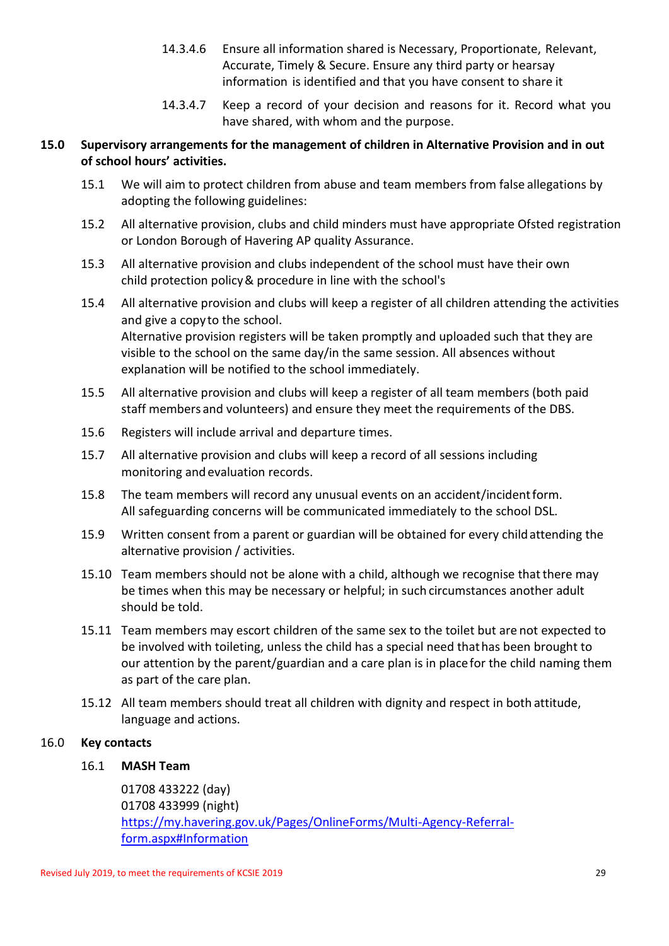- 14.3.4.6 Ensure all information shared is Necessary, Proportionate, Relevant, Accurate, Timely & Secure. Ensure any third party or hearsay information is identified and that you have consent to share it
- 14.3.4.7 Keep a record of your decision and reasons for it. Record what you have shared, with whom and the purpose.

# **15.0 Supervisory arrangements for the management of children in Alternative Provision and in out of school hours' activities.**

- 15.1 We will aim to protect children from abuse and team members from false allegations by adopting the following guidelines:
- 15.2 All alternative provision, clubs and child minders must have appropriate Ofsted registration or London Borough of Havering AP quality Assurance.
- 15.3 All alternative provision and clubs independent of the school must have their own child protection policy& procedure in line with the school's
- 15.4 All alternative provision and clubs will keep a register of all children attending the activities and give a copyto the school. Alternative provision registers will be taken promptly and uploaded such that they are visible to the school on the same day/in the same session. All absences without explanation will be notified to the school immediately.
- 15.5 All alternative provision and clubs will keep a register of all team members (both paid staff members and volunteers) and ensure they meet the requirements of the DBS.
- 15.6 Registers will include arrival and departure times.
- 15.7 All alternative provision and clubs will keep a record of all sessions including monitoring and evaluation records.
- 15.8 The team members will record any unusual events on an accident/incidentform. All safeguarding concerns will be communicated immediately to the school DSL.
- 15.9 Written consent from a parent or guardian will be obtained for every childattending the alternative provision / activities.
- 15.10 Team members should not be alone with a child, although we recognise that there may be times when this may be necessary or helpful; in such circumstances another adult should be told.
- 15.11 Team members may escort children of the same sex to the toilet but are not expected to be involved with toileting, unless the child has a special need thathas been brought to our attention by the parent/guardian and a care plan is in placefor the child naming them as part of the care plan.
- 15.12 All team members should treat all children with dignity and respect in both attitude, language and actions.

# 16.0 **Key contacts**

# 16.1 **MASH Team**

01708 433222 (day) 01708 433999 (night) [https://my.havering.gov.uk/Pages/OnlineForms/Multi-Agency-Referral](https://my.havering.gov.uk/Pages/OnlineForms/Multi-Agency-Referral-form.aspx#Information)[form.aspx#Information](https://my.havering.gov.uk/Pages/OnlineForms/Multi-Agency-Referral-form.aspx#Information)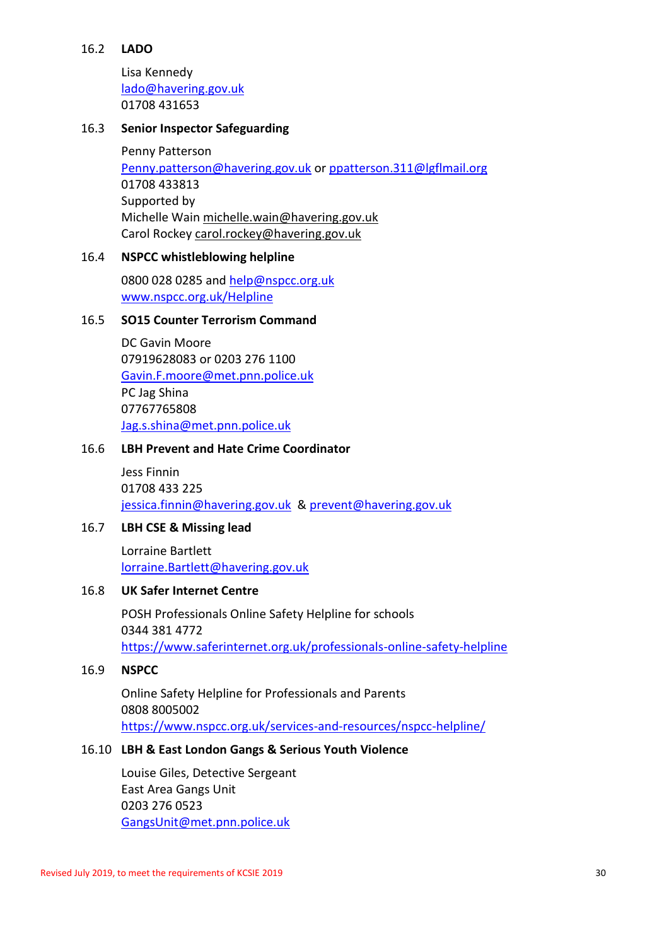#### 16.2 **LADO**

Lisa Kennedy [lado@havering.gov.uk](mailto:lado@havering.gov.uk) 01708 431653

#### 16.3 **Senior Inspector Safeguarding**

Penny Patterson [Penny.patterson@havering.gov.uk](mailto:Penny.patterson@havering.gov.uk) or [ppatterson.311@lgflmail.org](mailto:ppatterson.311@lgflmail.org) 01708 433813 Supported by Michelle Wai[n michelle.wain@havering.gov.uk](mailto:michelle.wain@havering.gov.uk) Carol Rockey [carol.rockey@havering.gov.uk](mailto:carol.rockey@havering.gov.uk)

#### 16.4 **NSPCC whistleblowing helpline**

0800 028 0285 and [help@nspcc.org.uk](mailto:help@nspcc.org.uk) [www.nspcc.org.uk/Helpline](http://www.nspcc.org.uk/Helpline)

#### 16.5 **SO15 Counter Terrorism Command**

DC Gavin Moore 07919628083 or 0203 276 1100 [Gavin.F.moore@met.pnn.police.uk](mailto:Gavin.F.moore@met.pnn.police.uk) PC Jag Shina 07767765808 [Jag.s.shina@met.pnn.police.uk](mailto:Jag.s.shina@met.pnn.police.uk)

#### 16.6 **LBH Prevent and Hate Crime Coordinator**

Jess Finnin 01708 433 225 [jessica.finnin@havering.gov.uk](mailto:jessica.finnin@havering.gov.uk) & [prevent@havering.gov.uk](mailto:prevent@havering.gov.uk)

#### 16.7 **LBH CSE & Missing lead**

Lorraine Bartlett [lorraine.Bartlett@havering.gov.uk](mailto:lorraine.Bartlett@havering.gov.uk)

## 16.8 **UK Safer Internet Centre**

POSH Professionals Online Safety Helpline for schools 0344 381 4772 <https://www.saferinternet.org.uk/professionals-online-safety-helpline>

#### 16.9 **NSPCC**

Online Safety Helpline for Professionals and Parents 0808 8005002 <https://www.nspcc.org.uk/services-and-resources/nspcc-helpline/>

#### 16.10 **LBH & East London Gangs & Serious Youth Violence**

Louise Giles, Detective Sergeant East Area Gangs Unit 0203 276 0523 [GangsUnit@met.pnn.police.uk](mailto:GangsUnit@met.pnn.police.uk)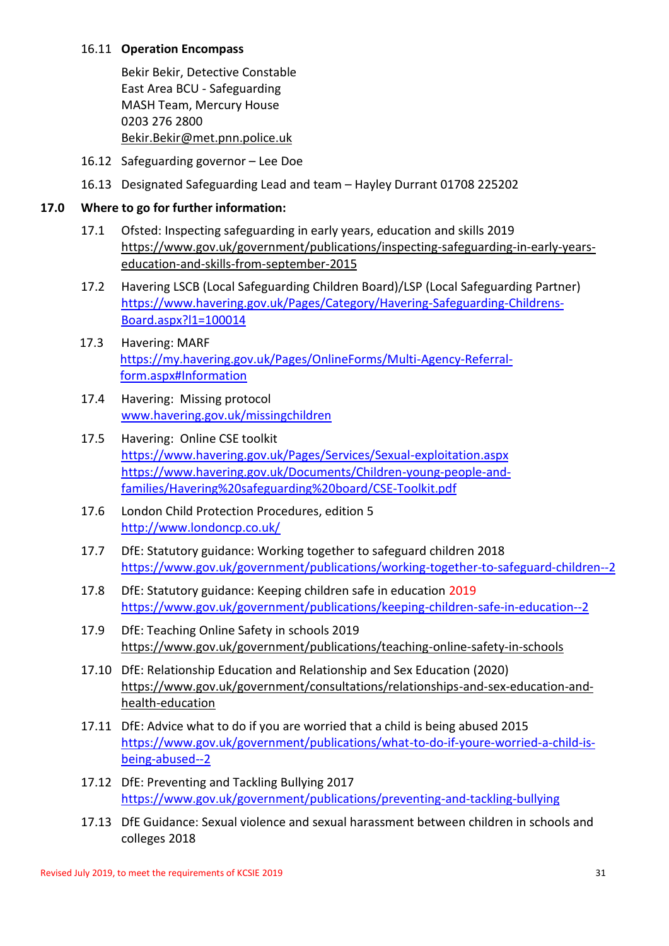#### 16.11 **Operation Encompass**

Bekir Bekir, Detective Constable East Area BCU - Safeguarding MASH Team, Mercury House 0203 276 2800 Bekir.Bekir@met.pnn.police.uk

- 16.12 Safeguarding governor Lee Doe
- 16.13 Designated Safeguarding Lead and team Hayley Durrant 01708 225202

# **17.0 Where to go for further information:**

- 17.1 Ofsted: Inspecting safeguarding in early years, education and skills 2019 [https://www.gov.uk/government/publications/inspecting-safeguarding-in-early-years](https://www.gov.uk/government/publications/inspecting-safeguarding-in-early-years-education-and-skills-from-september-2015)[education-and-skills-from-september-2015](https://www.gov.uk/government/publications/inspecting-safeguarding-in-early-years-education-and-skills-from-september-2015)
- 17.2 Havering LSCB (Local Safeguarding Children Board)/LSP (Local Safeguarding Partner) [https://www.havering.gov.uk/Pages/Category/Havering-Safeguarding-Childrens-](https://www.havering.gov.uk/Pages/Category/Havering-Safeguarding-Childrens-Board.aspx?l1=100014)[Board.aspx?l1=100014](https://www.havering.gov.uk/Pages/Category/Havering-Safeguarding-Childrens-Board.aspx?l1=100014)
- 17.3 Havering: MARF [https://my.havering.gov.uk/Pages/OnlineForms/Multi-Agency-Referral](https://my.havering.gov.uk/Pages/OnlineForms/Multi-Agency-Referral-form.aspx#Information)[form.aspx#Information](https://my.havering.gov.uk/Pages/OnlineForms/Multi-Agency-Referral-form.aspx#Information)
- 17.4 Havering: Missing protocol [www.havering.gov.uk/missingchildren](http://www.havering.gov.uk/Pages/Services/Social-care-client-contact-problems.aspx)
- 17.5 Havering: Online CSE toolkit <https://www.havering.gov.uk/Pages/Services/Sexual-exploitation.aspx> [https://www.havering.gov.uk/Documents/Children-young-people-and](https://www.havering.gov.uk/Documents/Children-young-people-and-families/Havering%20safeguarding%20board/CSE-Toolkit.pdf)[families/Havering%20safeguarding%20board/CSE-Toolkit.pdf](https://www.havering.gov.uk/Documents/Children-young-people-and-families/Havering%20safeguarding%20board/CSE-Toolkit.pdf)
- 17.6 London Child Protection Procedures, edition 5 <http://www.londoncp.co.uk/>
- 17.7 DfE: Statutory guidance: Working together to safeguard children 2018 <https://www.gov.uk/government/publications/working-together-to-safeguard-children--2>
- 17.8 DfE: Statutory guidance: Keeping children safe in education 2019 <https://www.gov.uk/government/publications/keeping-children-safe-in-education--2>
- 17.9 DfE: Teaching Online Safety in schools 2019 <https://www.gov.uk/government/publications/teaching-online-safety-in-schools>
- 17.10 DfE: Relationship Education and Relationship and Sex Education (2020) [https://www.gov.uk/government/consultations/relationships-and-sex-education-and](https://www.gov.uk/government/consultations/relationships-and-sex-education-and-health-education)[health-education](https://www.gov.uk/government/consultations/relationships-and-sex-education-and-health-education)
- 17.11 DfE: Advice what to do if you are worried that a child is being abused 2015 [https://www.gov.uk/government/publications/what-to-do-if-youre-worried-a-child-is](https://www.gov.uk/government/publications/what-to-do-if-youre-worried-a-child-is-being-abused--2)[being-abused--2](https://www.gov.uk/government/publications/what-to-do-if-youre-worried-a-child-is-being-abused--2)
- 17.12 DfE: Preventing and Tackling Bullying 2017 <https://www.gov.uk/government/publications/preventing-and-tackling-bullying>
- 17.13 DfE Guidance: [Sexual violence and sexual harassment between children in schools and](https://www.gov.uk/government/uploads/system/uploads/attachment_data/file/719902/Sexual_violence_and_sexual_harassment_between_children_in_schools_and_colleges.pdf)  [colleges](https://www.gov.uk/government/uploads/system/uploads/attachment_data/file/719902/Sexual_violence_and_sexual_harassment_between_children_in_schools_and_colleges.pdf) 2018